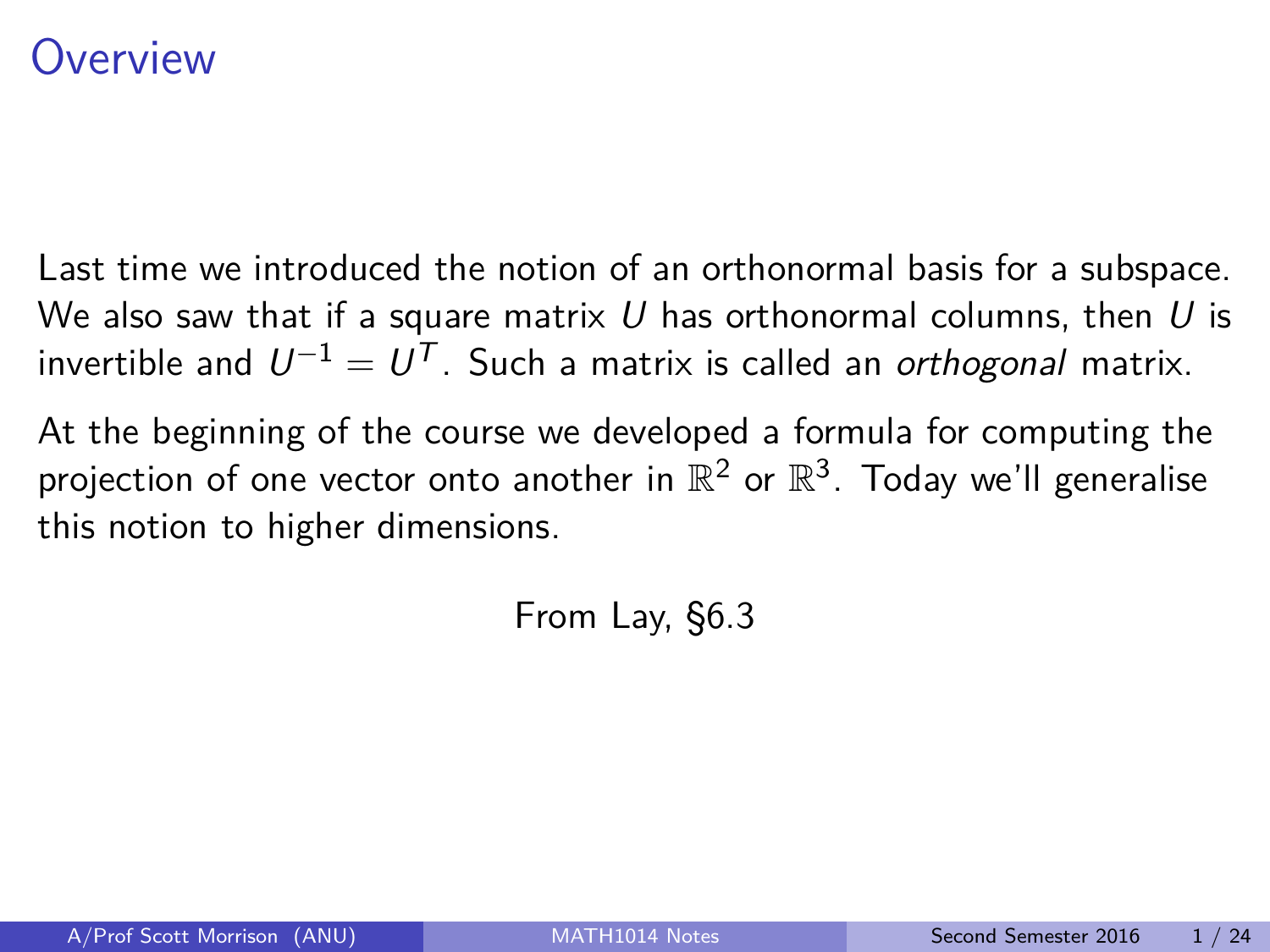# <span id="page-0-0"></span>)verview

Last time we introduced the notion of an orthonormal basis for a subspace. We also saw that if a square matrix U has orthonormal columns, then U is invertible and  $U^{-1}=U^{\mathcal{T}}.$  Such a matrix is called an *orthogonal* matrix.

At the beginning of the course we developed a formula for computing the projection of one vector onto another in  $\mathbb{R}^2$  or  $\mathbb{R}^3$ . Today we'll generalise this notion to higher dimensions.

From Lay, §6.3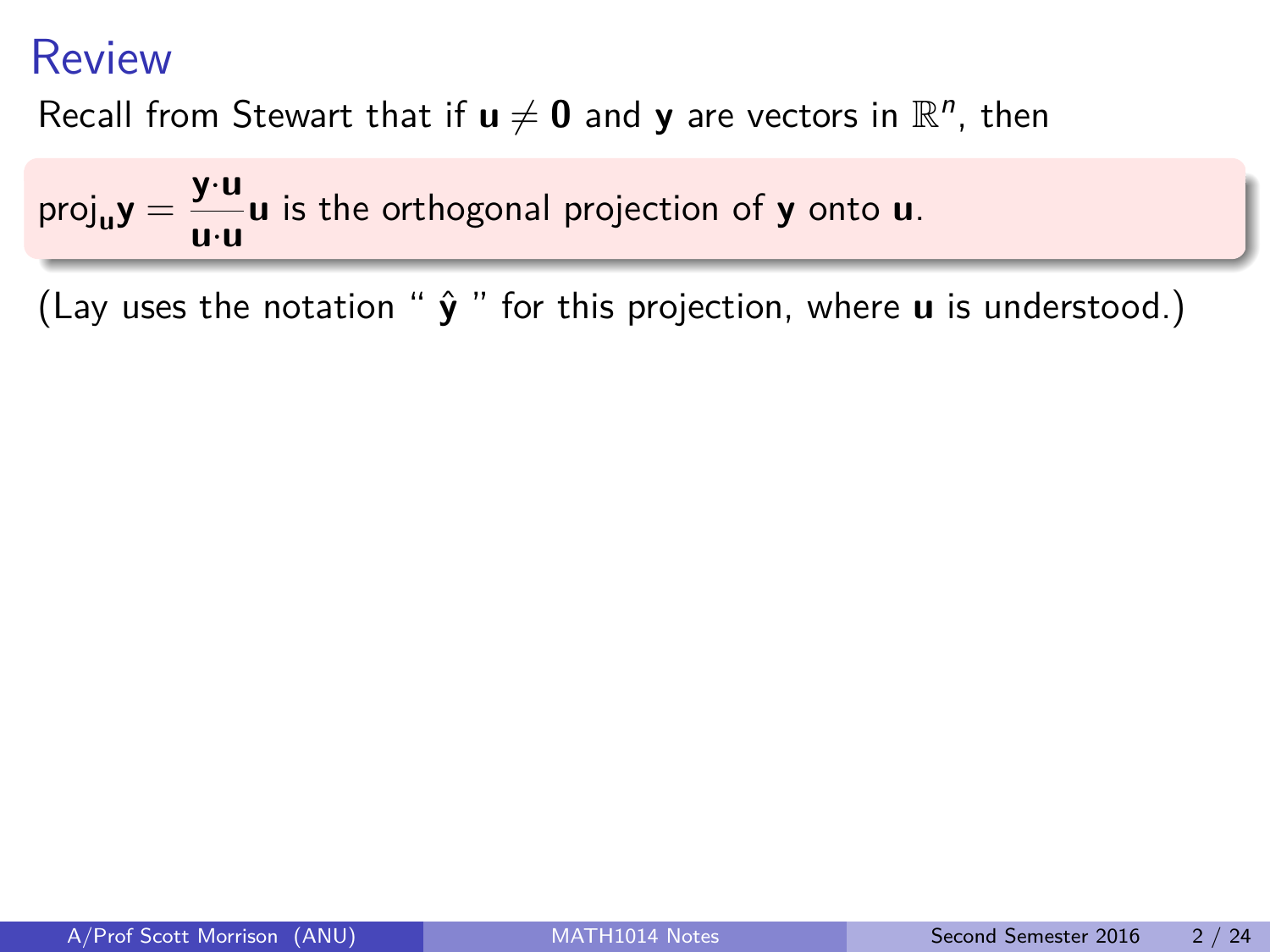Recall from Stewart that if  $\mathbf{u} \neq \mathbf{0}$  and  $\mathbf{y}$  are vectors in  $\mathbb{R}^n$ , then

 $proj_{\mathbf{u}} \mathbf{y} = \frac{\mathbf{y} \cdot \mathbf{u}}{\mathbf{u} \cdot \mathbf{u}}$ **u**·**u u** is the orthogonal projection of **y** onto **u**.

(Lay uses the notation " **y**ˆ " for this projection, where **u** is understood.)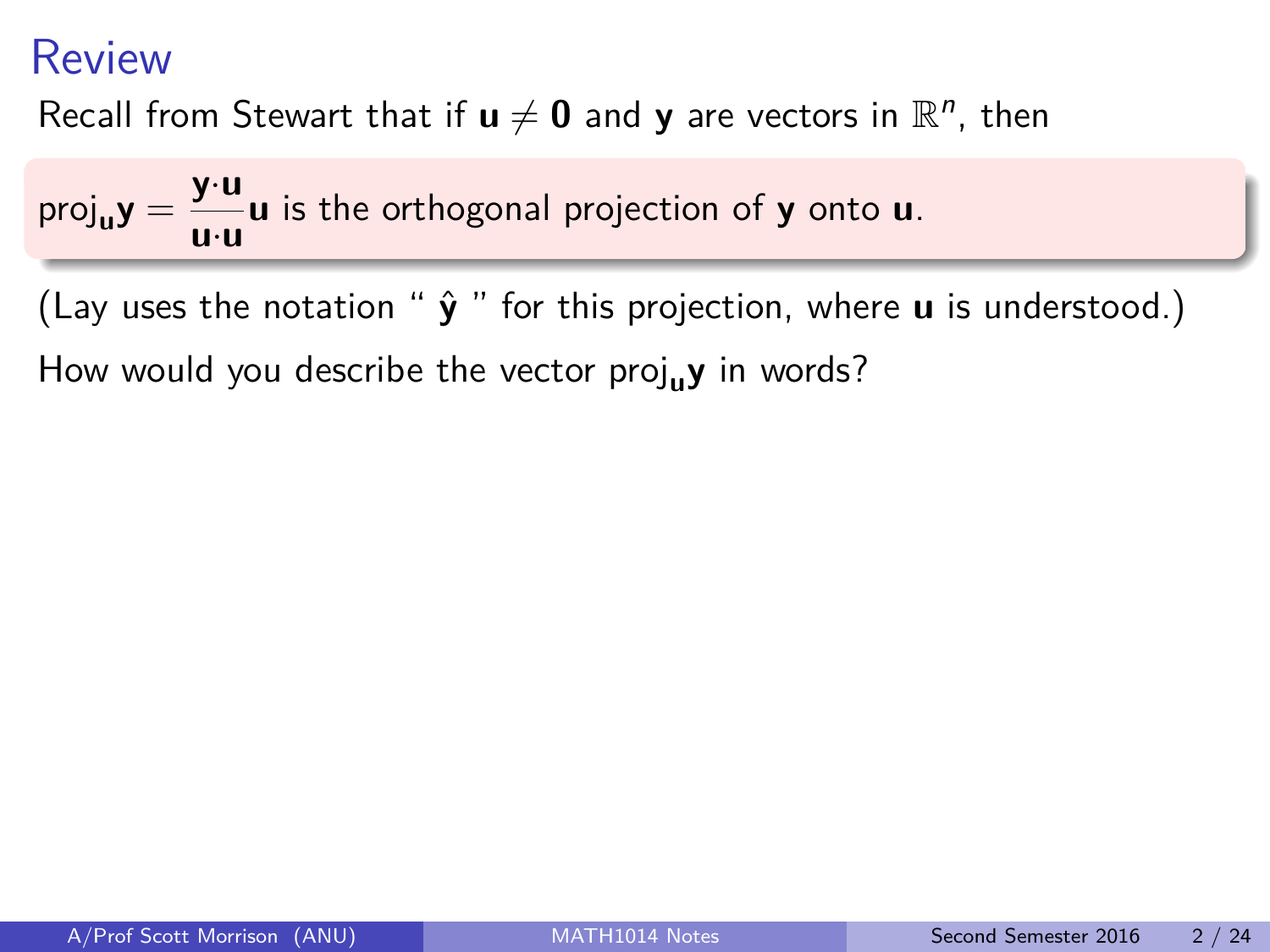Recall from Stewart that if  $\mathbf{u} \neq \mathbf{0}$  and  $\mathbf{y}$  are vectors in  $\mathbb{R}^n$ , then

 $proj_{\mathbf{u}} \mathbf{y} = \frac{\mathbf{y} \cdot \mathbf{u}}{\mathbf{u} \cdot \mathbf{u}}$ **u**·**u u** is the orthogonal projection of **y** onto **u**.

(Lay uses the notation " **y**ˆ " for this projection, where **u** is understood.)

How would you describe the vector proj<sub>u</sub>y in words?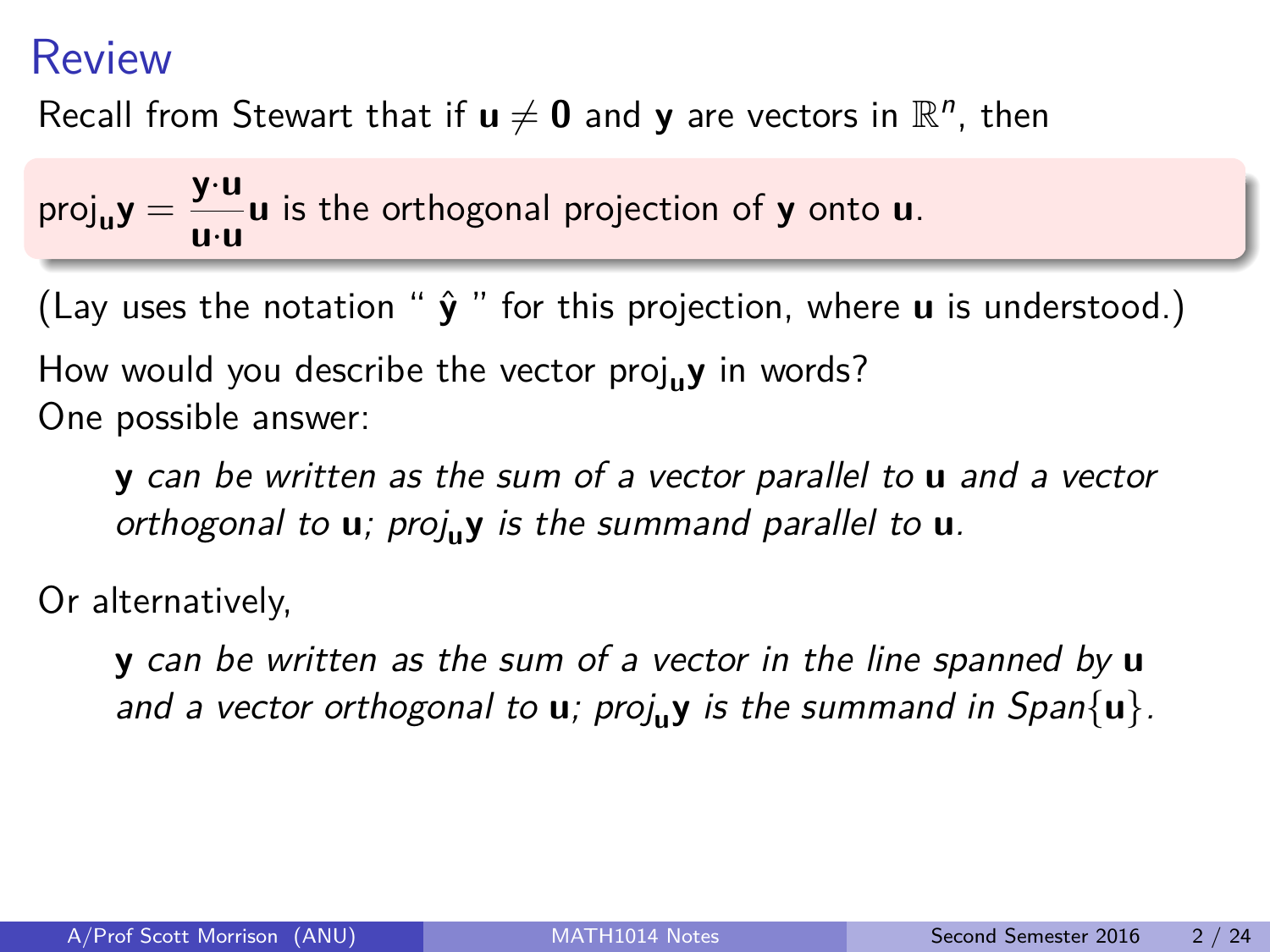Recall from Stewart that if  $\mathbf{u} \neq \mathbf{0}$  and  $\mathbf{y}$  are vectors in  $\mathbb{R}^n$ , then

 $proj_{\mathbf{u}} \mathbf{y} = \frac{\mathbf{y} \cdot \mathbf{u}}{\mathbf{u} \cdot \mathbf{u}}$ **u**·**u u** is the orthogonal projection of **y** onto **u**.

(Lay uses the notation " $\hat{v}$ " for this projection, where **u** is understood.)

How would you describe the vector proj<sub>u</sub>y in words? One possible answer:

**y** can be written as the sum of a vector parallel to **u** and a vector orthogonal to **u**; proj**uy** is the summand parallel to **u**.

Or alternatively,

**y** can be written as the sum of a vector in the line spanned by **u** and a vector orthogonal to  $\mathbf{u}$ ; proj<sub>u</sub>y is the summand in Span $\{\mathbf{u}\}\$ .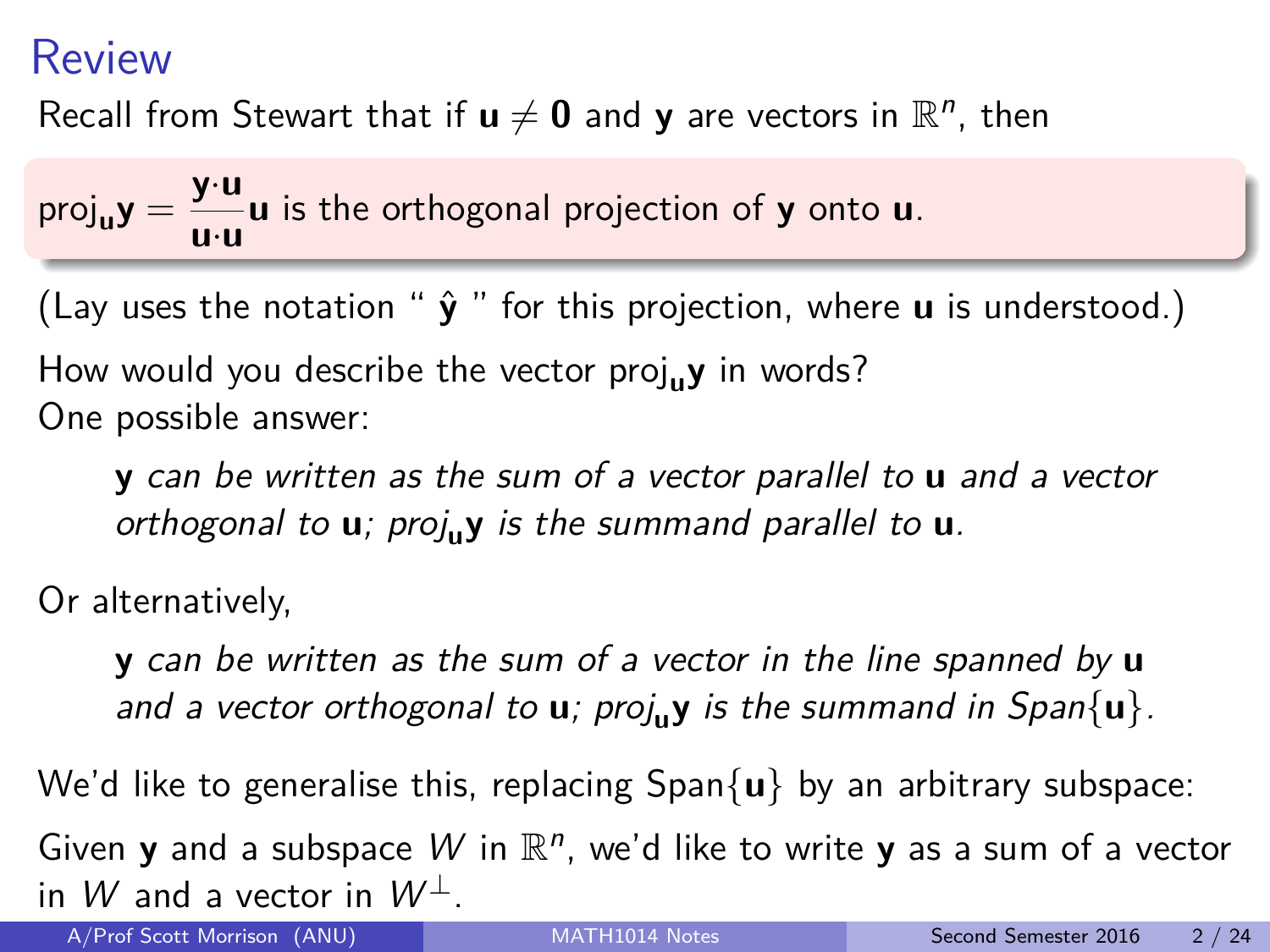Recall from Stewart that if  $\mathbf{u} \neq \mathbf{0}$  and  $\mathbf{y}$  are vectors in  $\mathbb{R}^n$ , then

 $proj_{\mathbf{u}} \mathbf{y} = \frac{\mathbf{y} \cdot \mathbf{u}}{\mathbf{u} \cdot \mathbf{u}}$ **u**·**u u** is the orthogonal projection of **y** onto **u**.

(Lay uses the notation " $\hat{v}$ " for this projection, where **u** is understood.)

How would you describe the vector proj<sub>u</sub>y in words? One possible answer:

**y** can be written as the sum of a vector parallel to **u** and a vector orthogonal to **u**; proj**uy** is the summand parallel to **u**.

Or alternatively,

**y** can be written as the sum of a vector in the line spanned by **u** and a vector orthogonal to **u**; proj<sub>u</sub>y is the summand in Span{**u**}.

We'd like to generalise this, replacing Span{**u**} by an arbitrary subspace:

Given **y** and a subspace W in  $\mathbb{R}^n$ , we'd like to write **y** as a sum of a vector in W and a vector in  $W^{\perp}$ .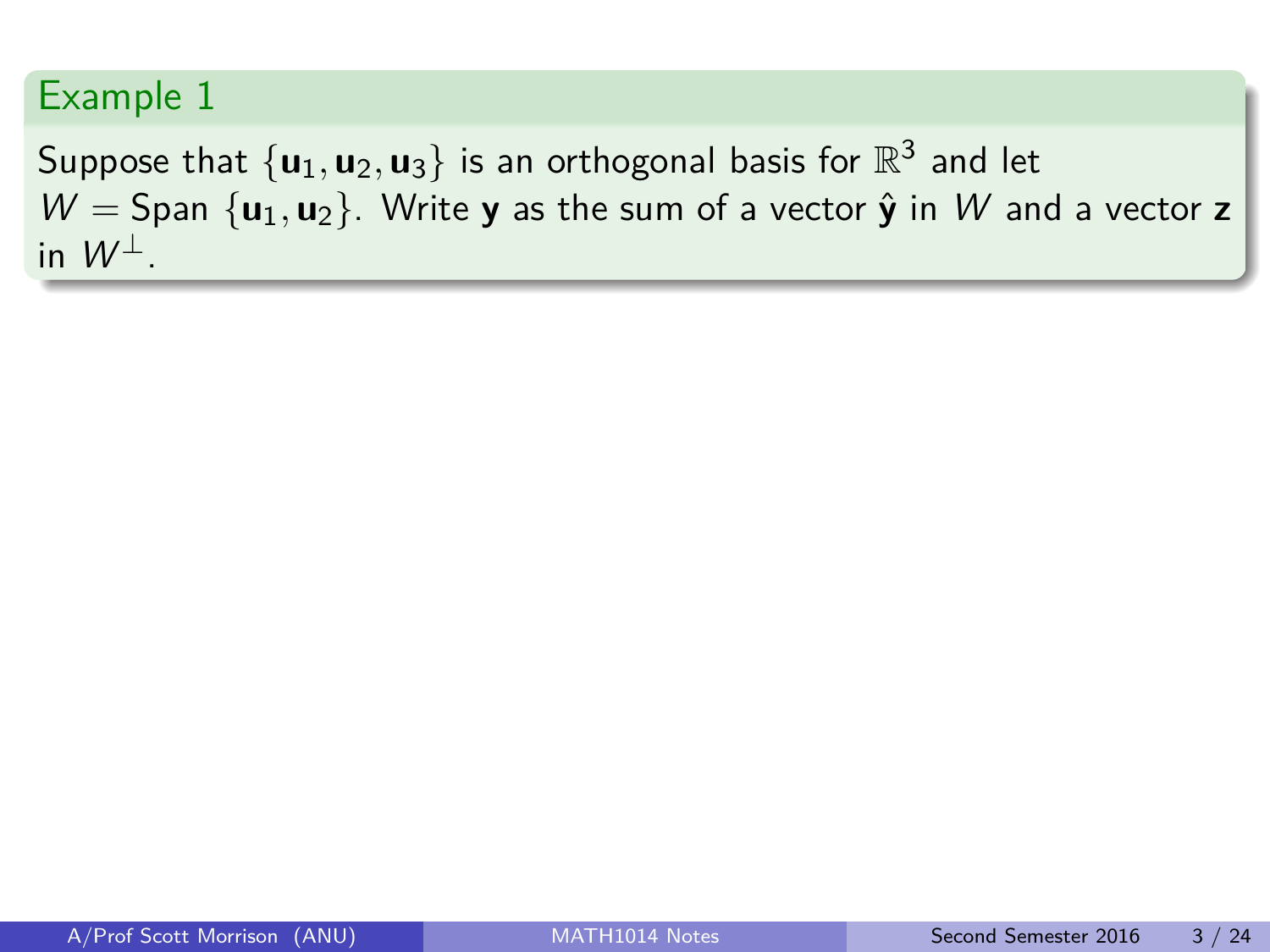#### Example 1

Suppose that  $\{ {\bm u}_1, {\bm u}_2, {\bm u}_3 \}$  is an orthogonal basis for  $\mathbb{R}^3$  and let  $W =$  Span  $\{u_1, u_2\}$ . Write **y** as the sum of a vector  $\hat{\mathbf{y}}$  in W and a vector **z** in  $W^{\perp}$ .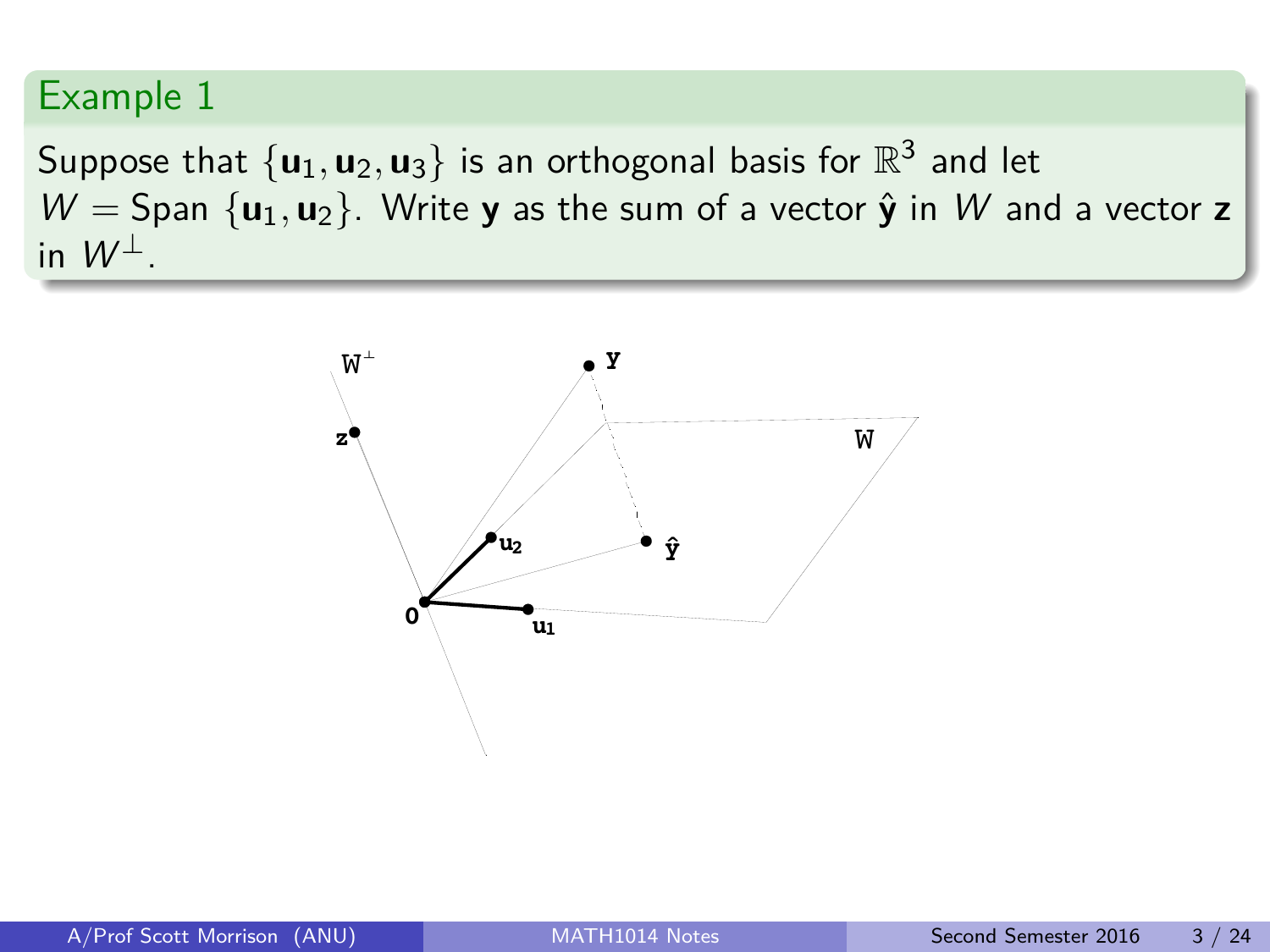#### Example 1

Suppose that  $\{ {\bm u}_1, {\bm u}_2, {\bm u}_3 \}$  is an orthogonal basis for  $\mathbb{R}^3$  and let  $W =$  Span  $\{u_1, u_2\}$ . Write **y** as the sum of a vector  $\hat{\mathbf{y}}$  in W and a vector **z** in  $W^{\perp}$ .

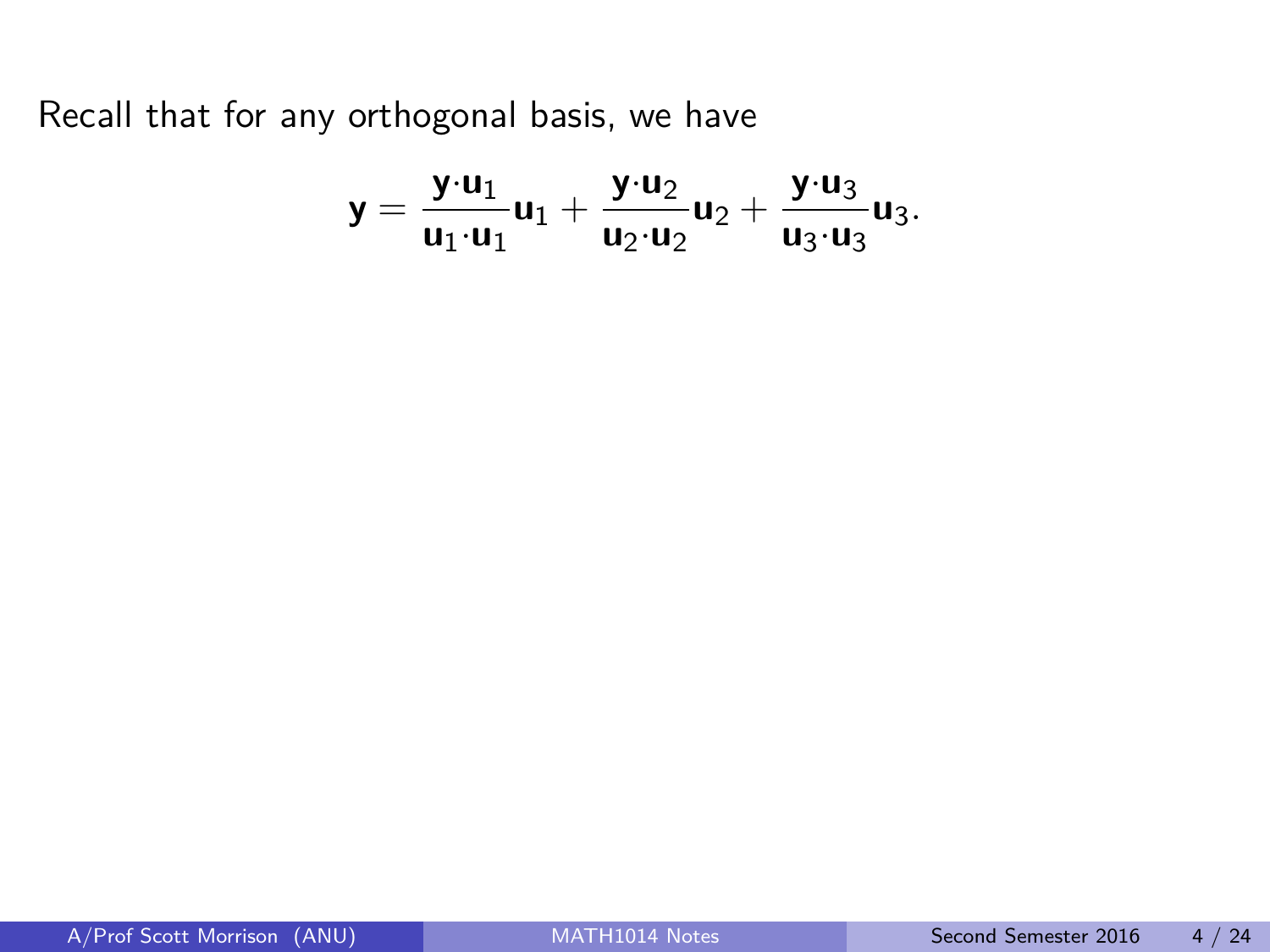Recall that for any orthogonal basis, we have

$$
\textbf{y}=\frac{\textbf{y}\cdot \textbf{u}_1}{\textbf{u}_1\cdot \textbf{u}_1}\textbf{u}_1+\frac{\textbf{y}\cdot \textbf{u}_2}{\textbf{u}_2\cdot \textbf{u}_2}\textbf{u}_2+\frac{\textbf{y}\cdot \textbf{u}_3}{\textbf{u}_3\cdot \textbf{u}_3}\textbf{u}_3.
$$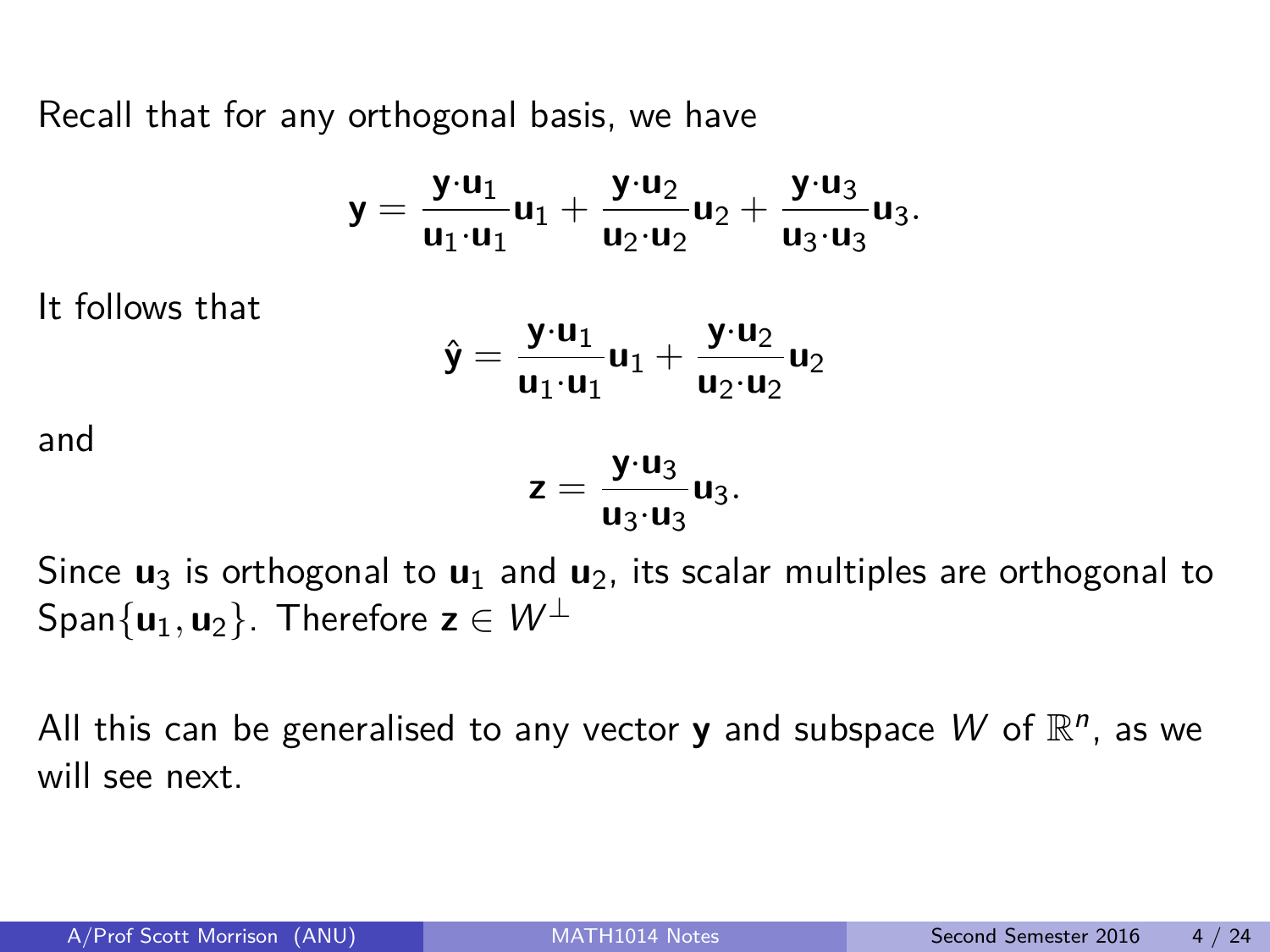Recall that for any orthogonal basis, we have

$$
\textbf{y}=\frac{\textbf{y}\cdot \textbf{u}_1}{\textbf{u}_1\cdot \textbf{u}_1}\textbf{u}_1+\frac{\textbf{y}\cdot \textbf{u}_2}{\textbf{u}_2\cdot \textbf{u}_2}\textbf{u}_2+\frac{\textbf{y}\cdot \textbf{u}_3}{\textbf{u}_3\cdot \textbf{u}_3}\textbf{u}_3.
$$

It follows that

$$
\hat{\mathbf{y}} = \frac{\mathbf{y} \cdot \mathbf{u}_1}{\mathbf{u}_1 \cdot \mathbf{u}_1} \mathbf{u}_1 + \frac{\mathbf{y} \cdot \mathbf{u}_2}{\mathbf{u}_2 \cdot \mathbf{u}_2} \mathbf{u}_2
$$

and

$$
z=\frac{y\cdot u_3}{u_3\cdot u_3}u_3.
$$

Since **u**<sup>3</sup> is orthogonal to **u**<sup>1</sup> and **u**2, its scalar multiples are orthogonal to Span $\{u_1, u_2\}$ . Therefore  $z \in W^{\perp}$ 

All this can be generalised to any vector **y** and subspace  $W$  of  $\mathbb{R}^n$ , as we will see next.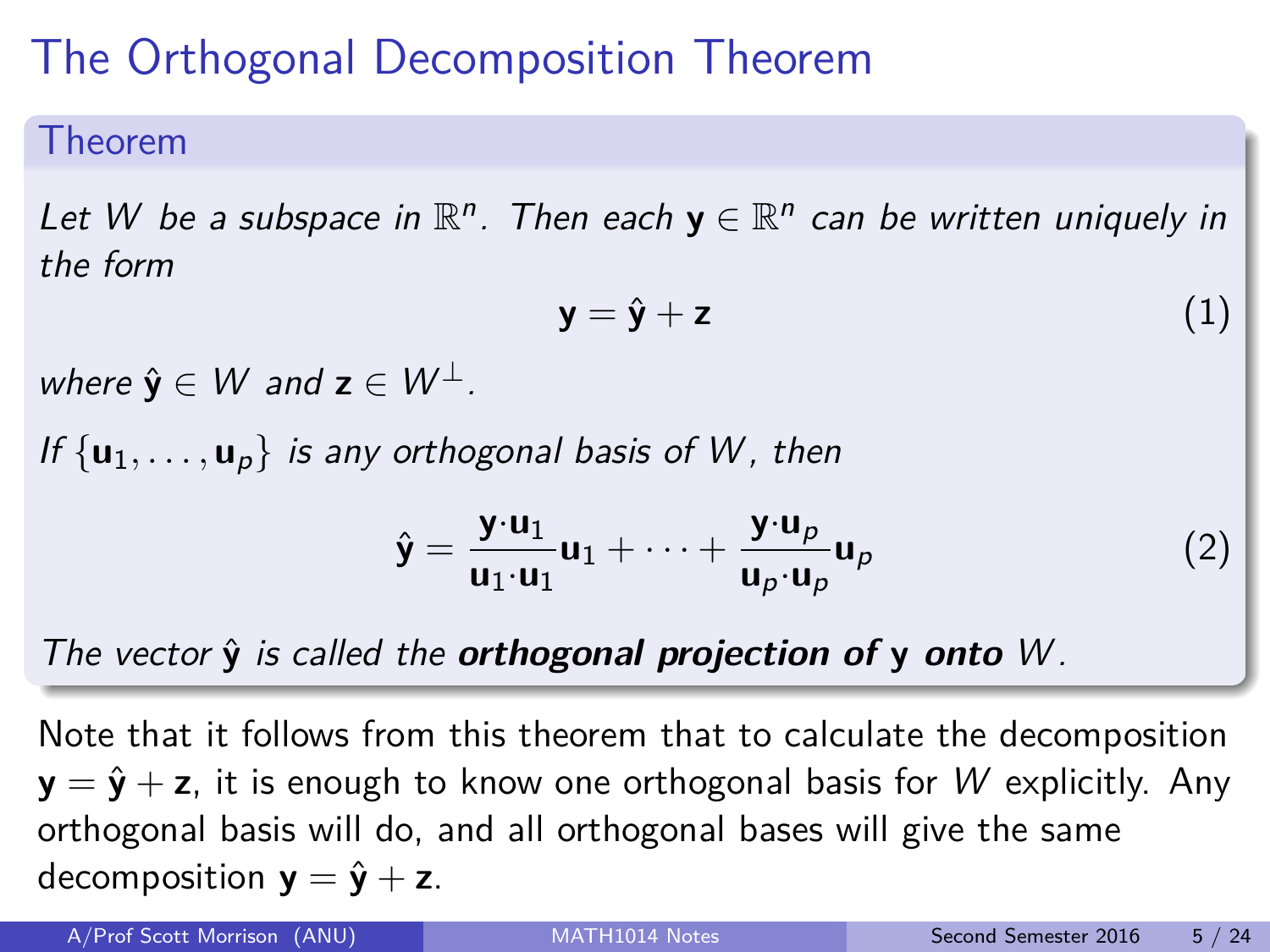# The Orthogonal Decomposition Theorem

#### Theorem

Let W be a subspace in  $\mathbb{R}^n$ . Then each  $y \in \mathbb{R}^n$  can be written uniquely in the form

$$
y = \hat{y} + z \tag{1}
$$

where  $\hat{\mathbf{y}} \in W$  and  $\mathbf{z} \in W^{\perp}$ .

If  $\{u_1, \ldots, u_p\}$  is any orthogonal basis of W, then

$$
\hat{\mathbf{y}} = \frac{\mathbf{y} \cdot \mathbf{u}_1}{\mathbf{u}_1 \cdot \mathbf{u}_1} \mathbf{u}_1 + \dots + \frac{\mathbf{y} \cdot \mathbf{u}_p}{\mathbf{u}_p \cdot \mathbf{u}_p} \mathbf{u}_p \tag{2}
$$

#### The vector  $\hat{y}$  is called the **orthogonal projection of**  $y$  **onto** W.

Note that it follows from this theorem that to calculate the decomposition **y** =  $\hat{\mathbf{y}}$  + **z**, it is enough to know one orthogonal basis for W explicitly. Any orthogonal basis will do, and all orthogonal bases will give the same decomposition  $y = \hat{y} + z$ .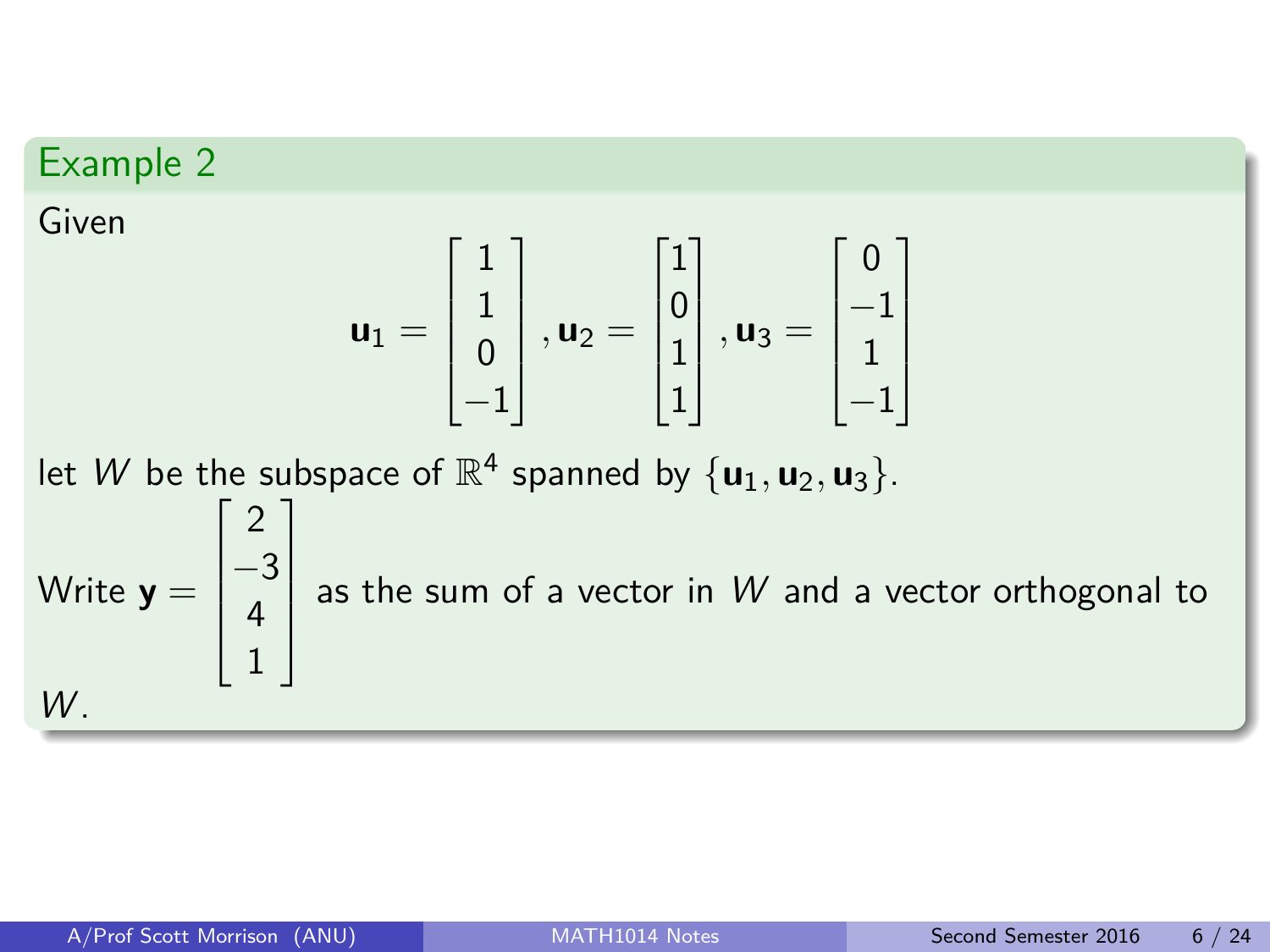#### Example 2

Given

$$
\textbf{u}_1 = \begin{bmatrix} 1 \\ 1 \\ 0 \\ -1 \end{bmatrix}, \textbf{u}_2 = \begin{bmatrix} 1 \\ 0 \\ 1 \\ 1 \end{bmatrix}, \textbf{u}_3 = \begin{bmatrix} 0 \\ -1 \\ 1 \\ -1 \end{bmatrix}
$$

let  $W$  be the subspace of  $\mathbb{R}^4$  spanned by  $\{u_1, u_2, u_3\}$ . Write **y** =  $\sqrt{ }$  2  $-3$ 4 1 1 as the sum of a vector in W and a vector orthogonal to  $W$ .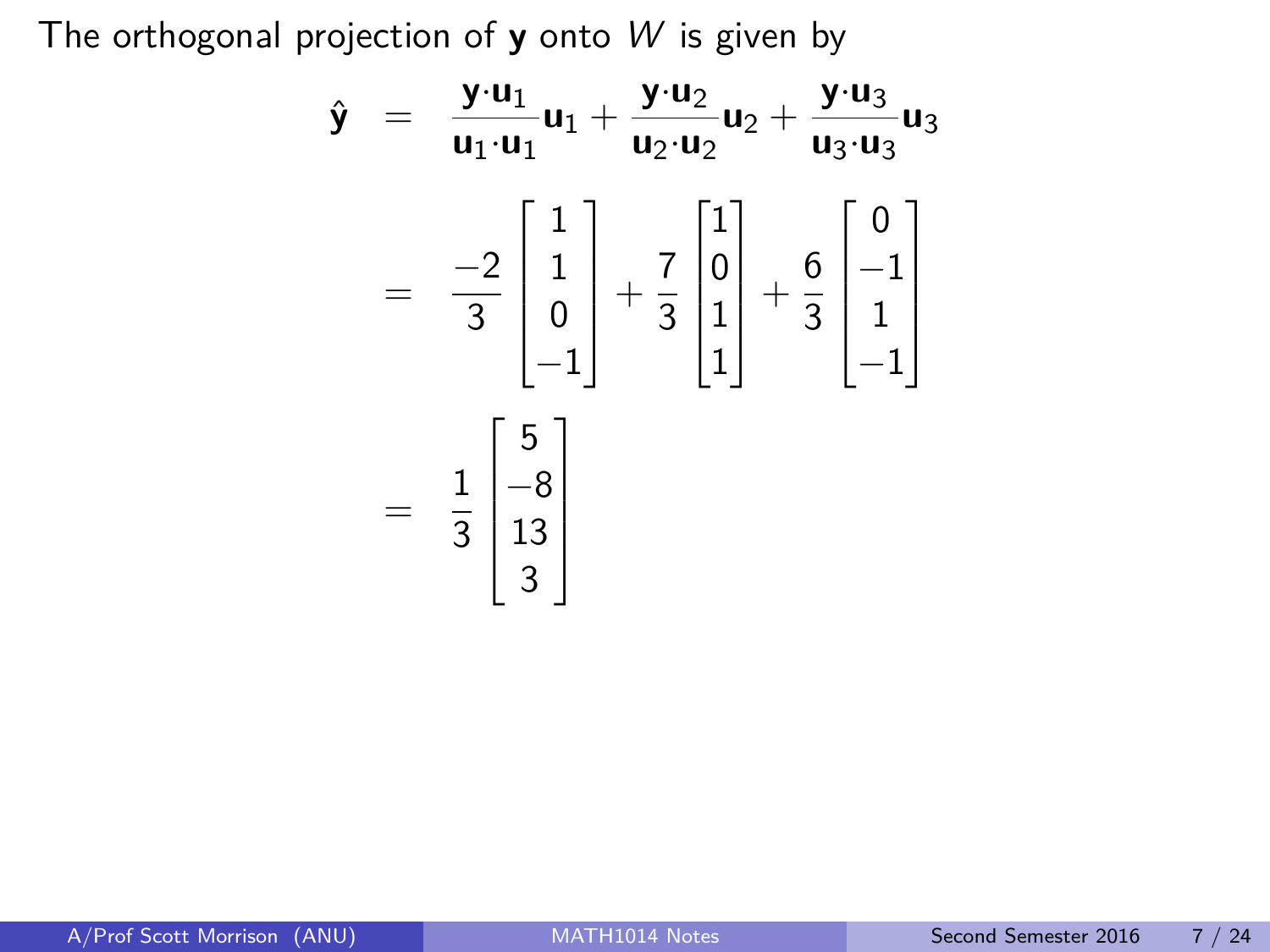The orthogonal projection of **y** onto W is given by

$$
\hat{\mathbf{y}} = \frac{\mathbf{y} \cdot \mathbf{u}_1}{\mathbf{u}_1 \cdot \mathbf{u}_1} \mathbf{u}_1 + \frac{\mathbf{y} \cdot \mathbf{u}_2}{\mathbf{u}_2 \cdot \mathbf{u}_2} \mathbf{u}_2 + \frac{\mathbf{y} \cdot \mathbf{u}_3}{\mathbf{u}_3 \cdot \mathbf{u}_3} \mathbf{u}_3
$$
\n
$$
= \frac{-2}{3} \begin{bmatrix} 1 \\ 1 \\ 0 \\ -1 \end{bmatrix} + \frac{7}{3} \begin{bmatrix} 1 \\ 0 \\ 1 \\ 1 \end{bmatrix} + \frac{6}{3} \begin{bmatrix} 0 \\ -1 \\ 1 \\ -1 \end{bmatrix}
$$
\n
$$
= \frac{1}{3} \begin{bmatrix} 5 \\ -8 \\ 13 \\ 3 \end{bmatrix}
$$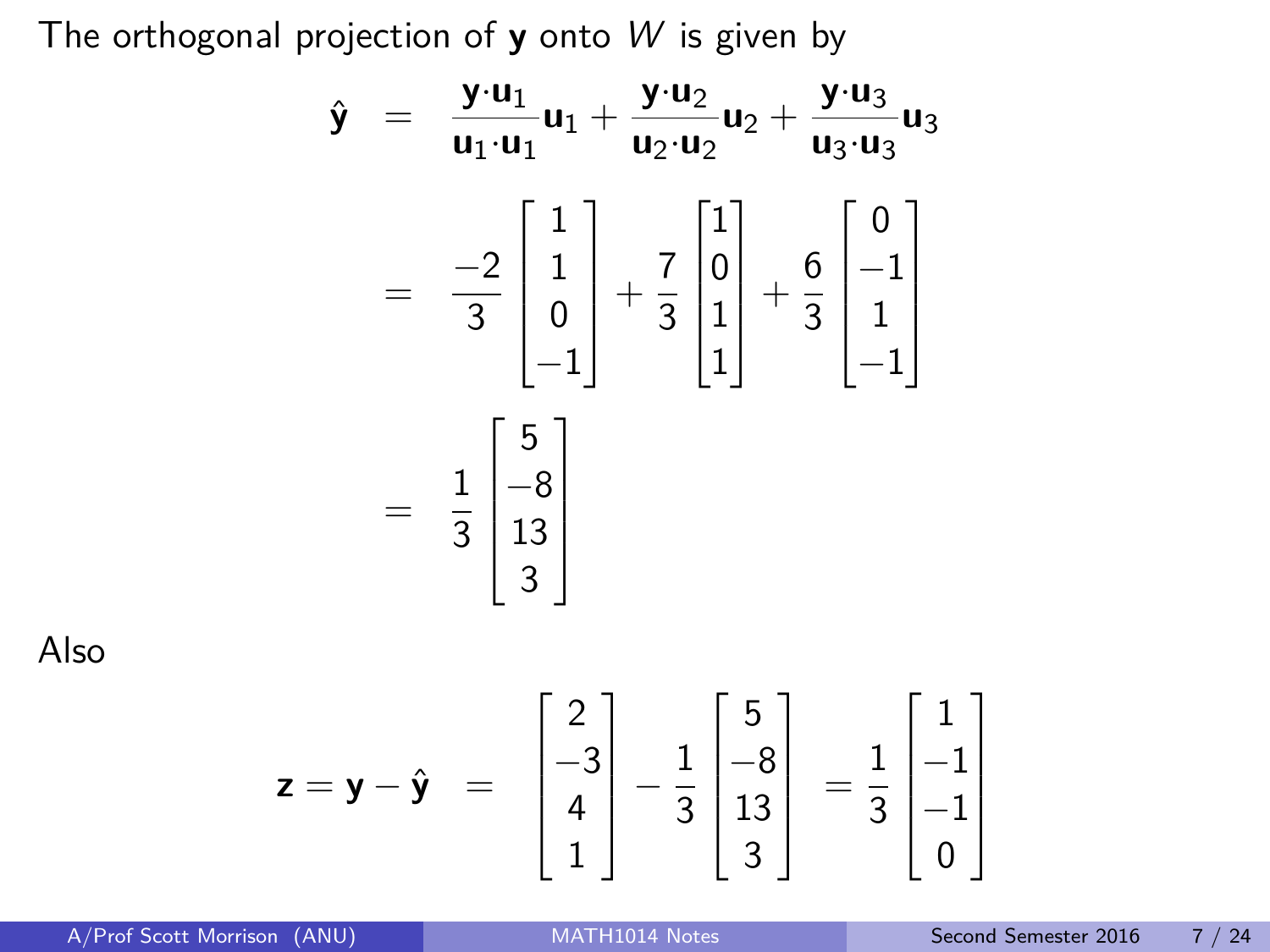The orthogonal projection of **y** onto W is given by

$$
\hat{\mathbf{y}} = \frac{\mathbf{y} \cdot \mathbf{u}_1}{\mathbf{u}_1 \cdot \mathbf{u}_1} \mathbf{u}_1 + \frac{\mathbf{y} \cdot \mathbf{u}_2}{\mathbf{u}_2 \cdot \mathbf{u}_2} \mathbf{u}_2 + \frac{\mathbf{y} \cdot \mathbf{u}_3}{\mathbf{u}_3 \cdot \mathbf{u}_3} \mathbf{u}_3
$$
\n
$$
= \frac{-2}{3} \begin{bmatrix} 1 \\ 1 \\ 0 \\ -1 \end{bmatrix} + \frac{7}{3} \begin{bmatrix} 1 \\ 0 \\ 1 \\ 1 \end{bmatrix} + \frac{6}{3} \begin{bmatrix} 0 \\ -1 \\ 1 \\ -1 \end{bmatrix}
$$
\n
$$
= \frac{1}{3} \begin{bmatrix} 5 \\ -8 \\ 13 \\ 3 \end{bmatrix}
$$
\n
$$
= \mathbf{y} - \hat{\mathbf{y}} = \begin{bmatrix} 2 \\ -3 \\ 4 \end{bmatrix} - \frac{1}{3} \begin{bmatrix} 5 \\ -8 \\ 13 \end{bmatrix} = \frac{1}{3} \begin{bmatrix} 1 \\ -2 \\ 13 \end{bmatrix}
$$

Also

$$
\mathbf{z} = \mathbf{y} - \hat{\mathbf{y}} = \begin{bmatrix} 2 \\ -3 \\ 4 \\ 1 \end{bmatrix} - \frac{1}{3} \begin{bmatrix} 5 \\ -8 \\ 13 \\ 3 \end{bmatrix} = \frac{1}{3} \begin{bmatrix} 1 \\ -1 \\ -1 \\ 0 \end{bmatrix}
$$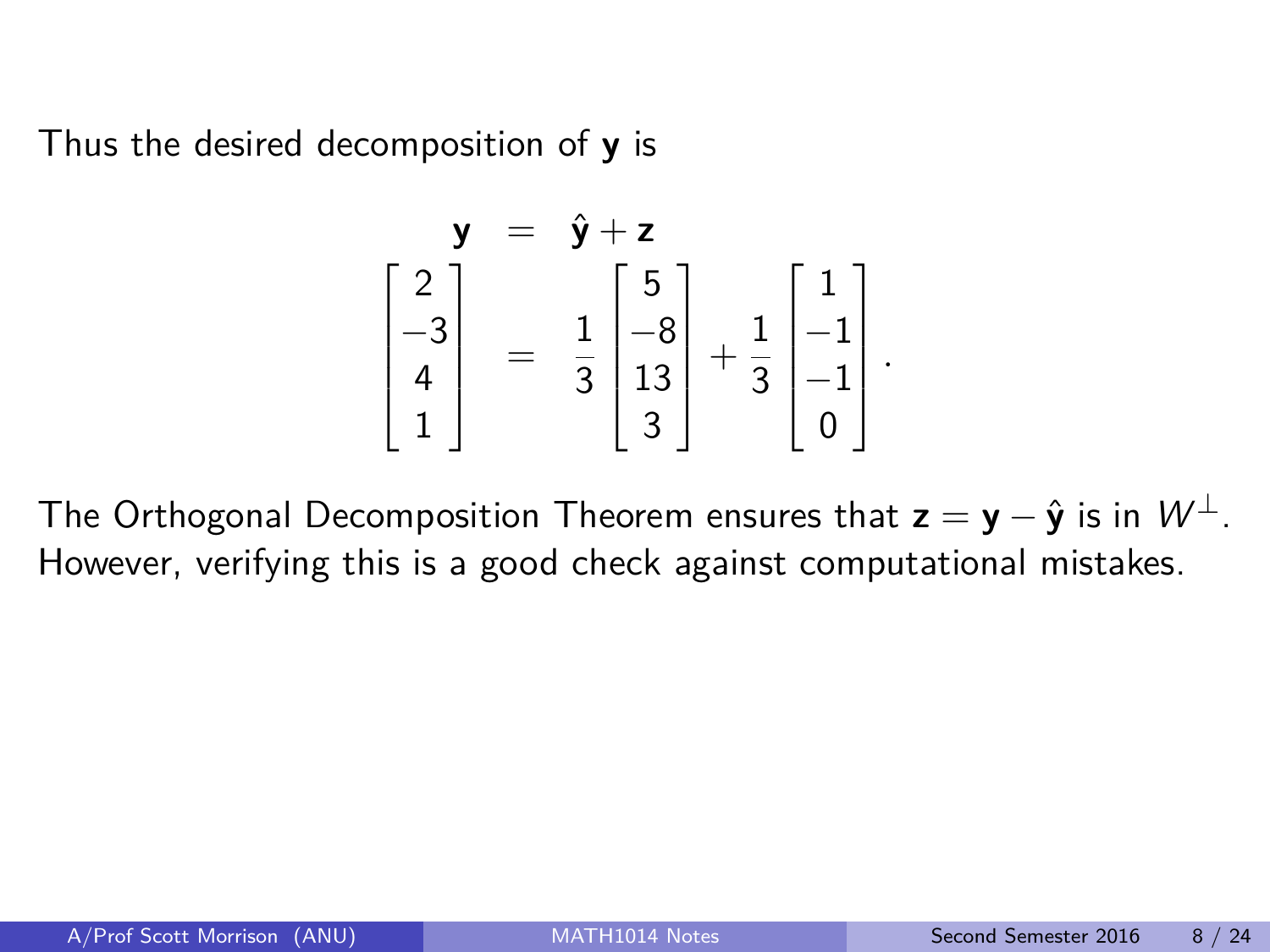Thus the desired decomposition of **y** is

$$
\mathbf{y} = \hat{\mathbf{y}} + \mathbf{z}
$$
\n
$$
\begin{bmatrix} 2 \\ -3 \\ 4 \\ 1 \end{bmatrix} = \frac{1}{3} \begin{bmatrix} 5 \\ -8 \\ 13 \\ 3 \end{bmatrix} + \frac{1}{3} \begin{bmatrix} 1 \\ -1 \\ -1 \\ 0 \end{bmatrix}.
$$

The Orthogonal Decomposition Theorem ensures that  $z = y - \hat{y}$  is in  $W^{\perp}$ . However, verifying this is a good check against computational mistakes.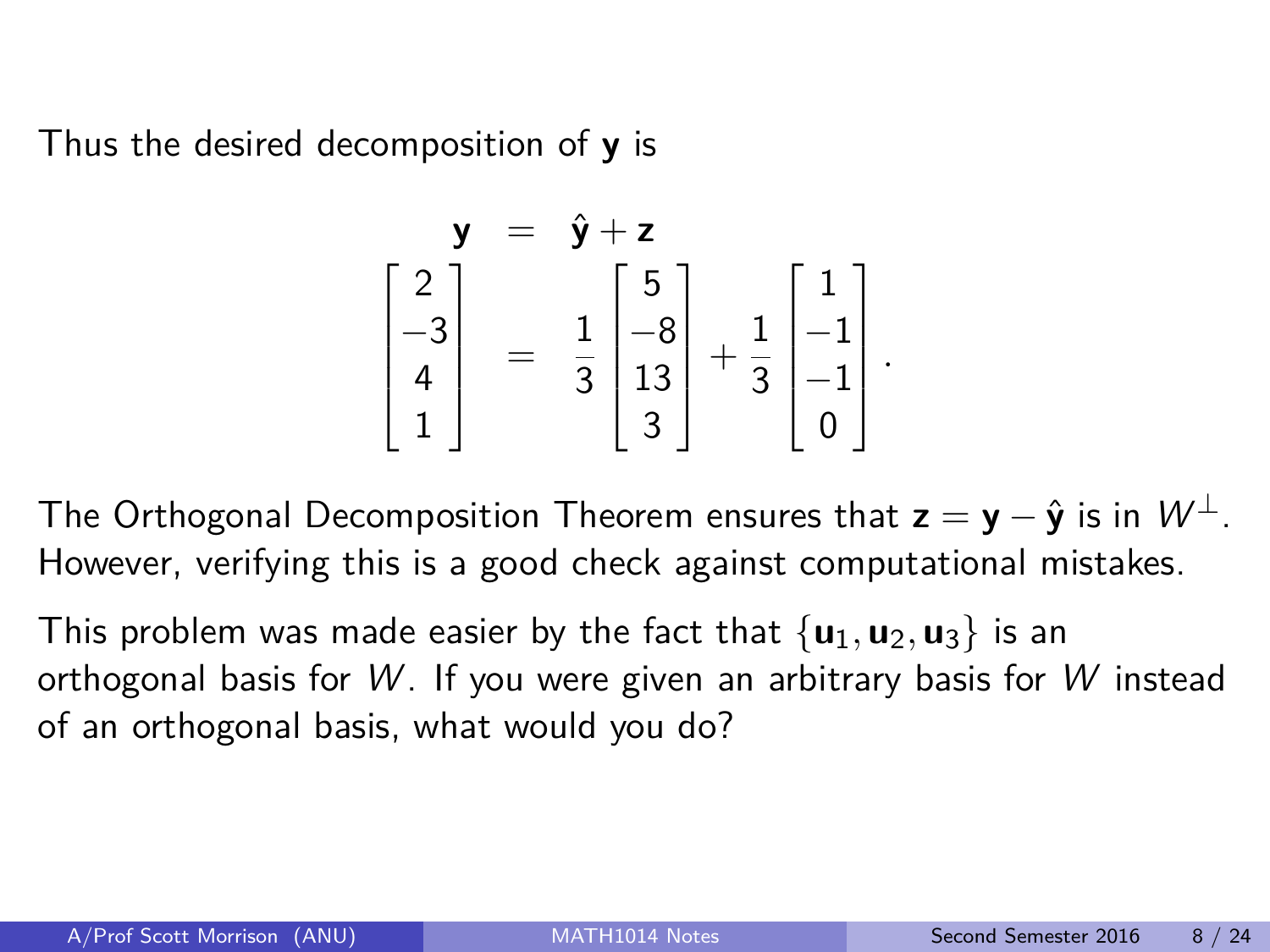Thus the desired decomposition of **y** is

$$
\mathbf{y} = \hat{\mathbf{y}} + \mathbf{z}
$$
\n
$$
\begin{bmatrix} 2 \\ -3 \\ 4 \\ 1 \end{bmatrix} = \frac{1}{3} \begin{bmatrix} 5 \\ -8 \\ 13 \\ 3 \end{bmatrix} + \frac{1}{3} \begin{bmatrix} 1 \\ -1 \\ -1 \\ 0 \end{bmatrix}.
$$

The Orthogonal Decomposition Theorem ensures that  $z = y - \hat{y}$  is in  $W^{\perp}$ . However, verifying this is a good check against computational mistakes.

This problem was made easier by the fact that  $\{u_1, u_2, u_3\}$  is an orthogonal basis for  $W$ . If you were given an arbitrary basis for W instead of an orthogonal basis, what would you do?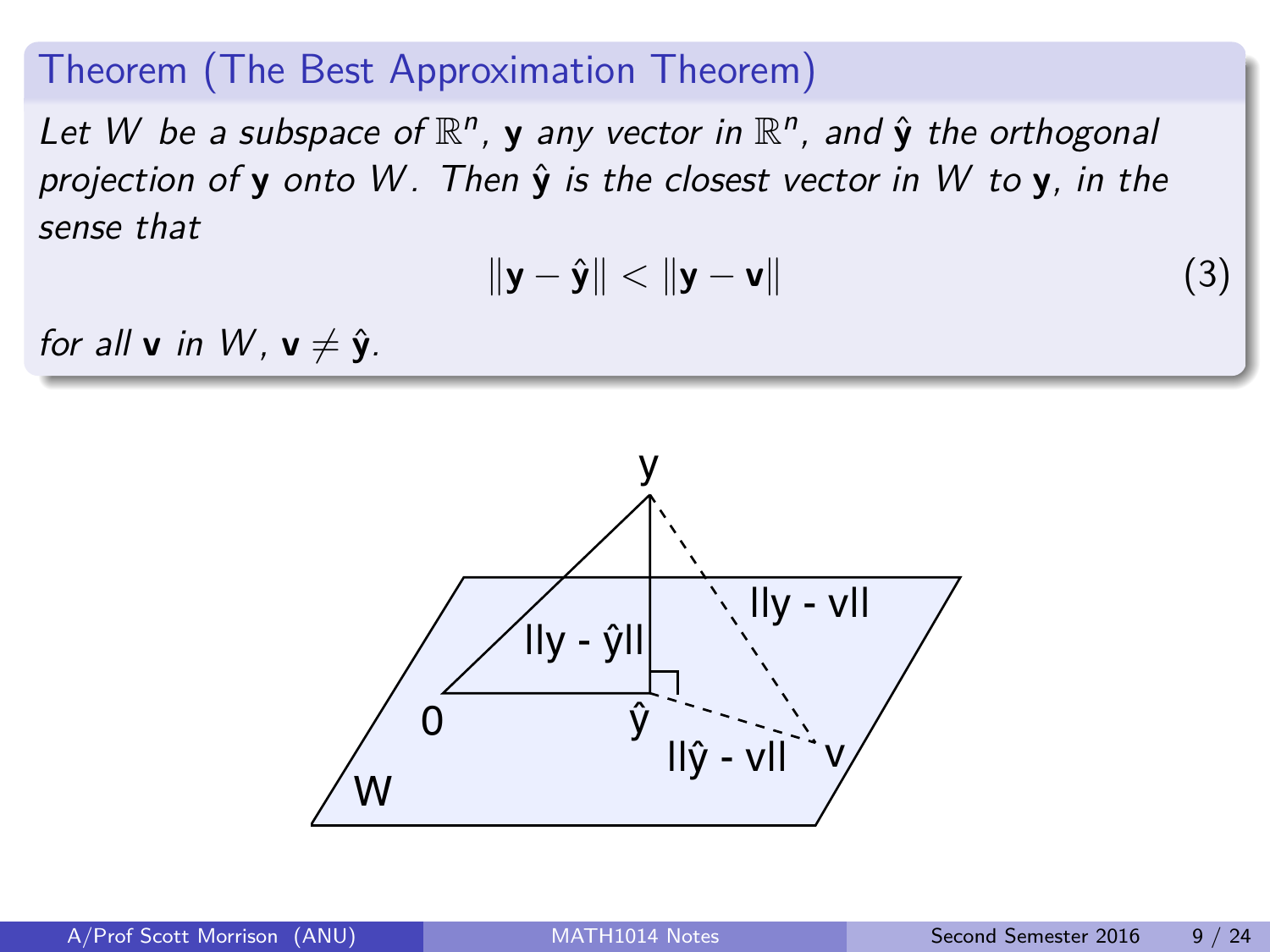#### Theorem (The Best Approximation Theorem)

Let W be a subspace of  $\mathbb{R}^n$ , **y** any vector in  $\mathbb{R}^n$ , and  $\hat{\mathbf{y}}$  the orthogonal projection of **y** onto W . Then **y**ˆ is the closest vector in W to **y**, in the sense that

$$
\|\mathbf{y} - \hat{\mathbf{y}}\| < \|\mathbf{y} - \mathbf{v}\| \tag{3}
$$

for all **v** in W,  $v \neq \hat{v}$ .

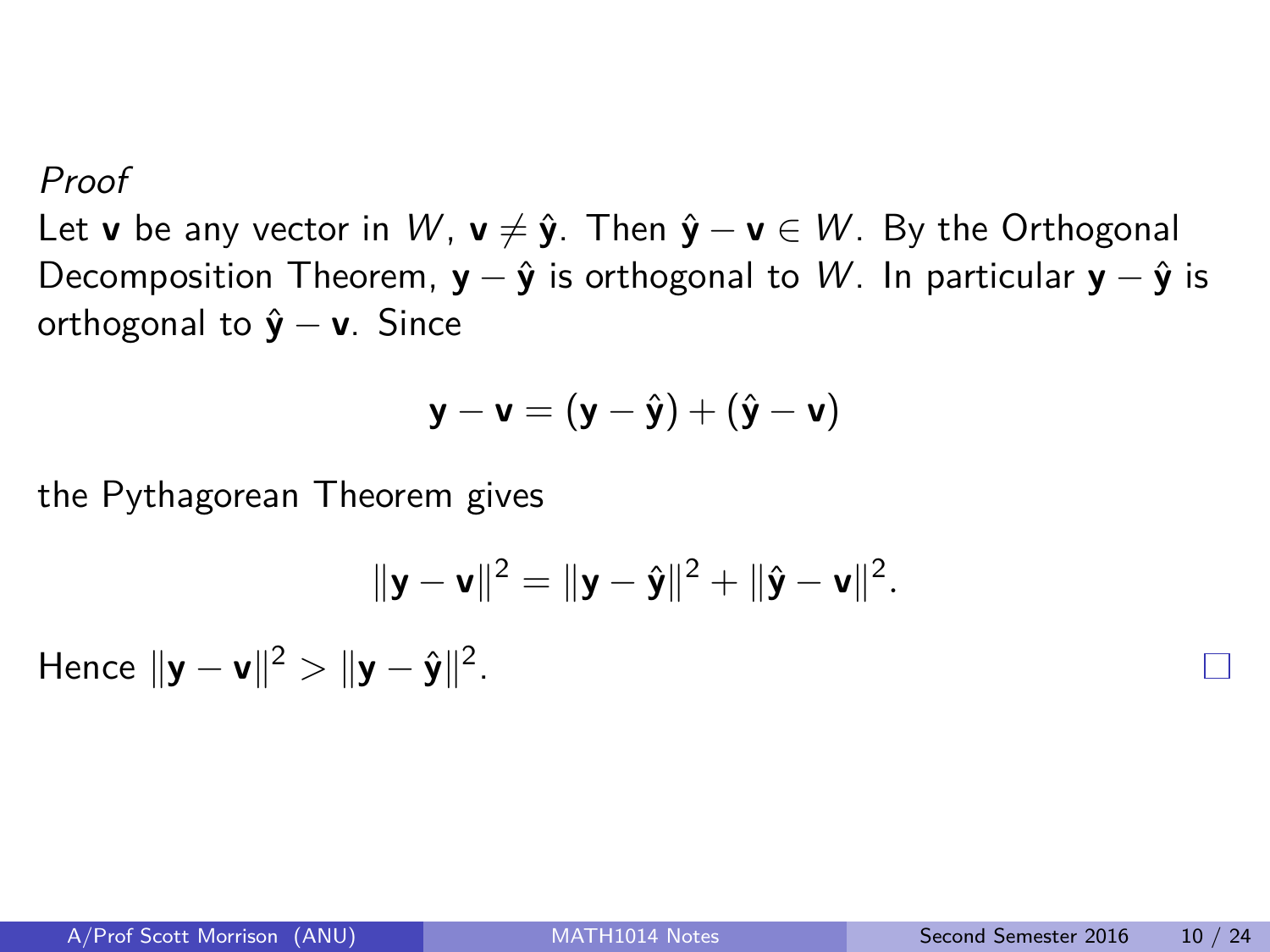Proof

Let **v** be any vector in W,  $\mathbf{v} \neq \hat{\mathbf{y}}$ . Then  $\hat{\mathbf{y}} - \mathbf{v} \in W$ . By the Orthogonal Decomposition Theorem,  $y - \hat{y}$  is orthogonal to W. In particular  $y - \hat{y}$  is orthogonal to **y**ˆ − **v**. Since

$$
\mathbf{y} - \mathbf{v} = (\mathbf{y} - \hat{\mathbf{y}}) + (\hat{\mathbf{y}} - \mathbf{v})
$$

the Pythagorean Theorem gives

$$
\|\mathbf{y}-\mathbf{v}\|^2=\|\mathbf{y}-\hat{\mathbf{y}}\|^2+\|\hat{\mathbf{y}}-\mathbf{v}\|^2.
$$

Hence  $||y - v||^2 > ||y - \hat{y}||^2$ .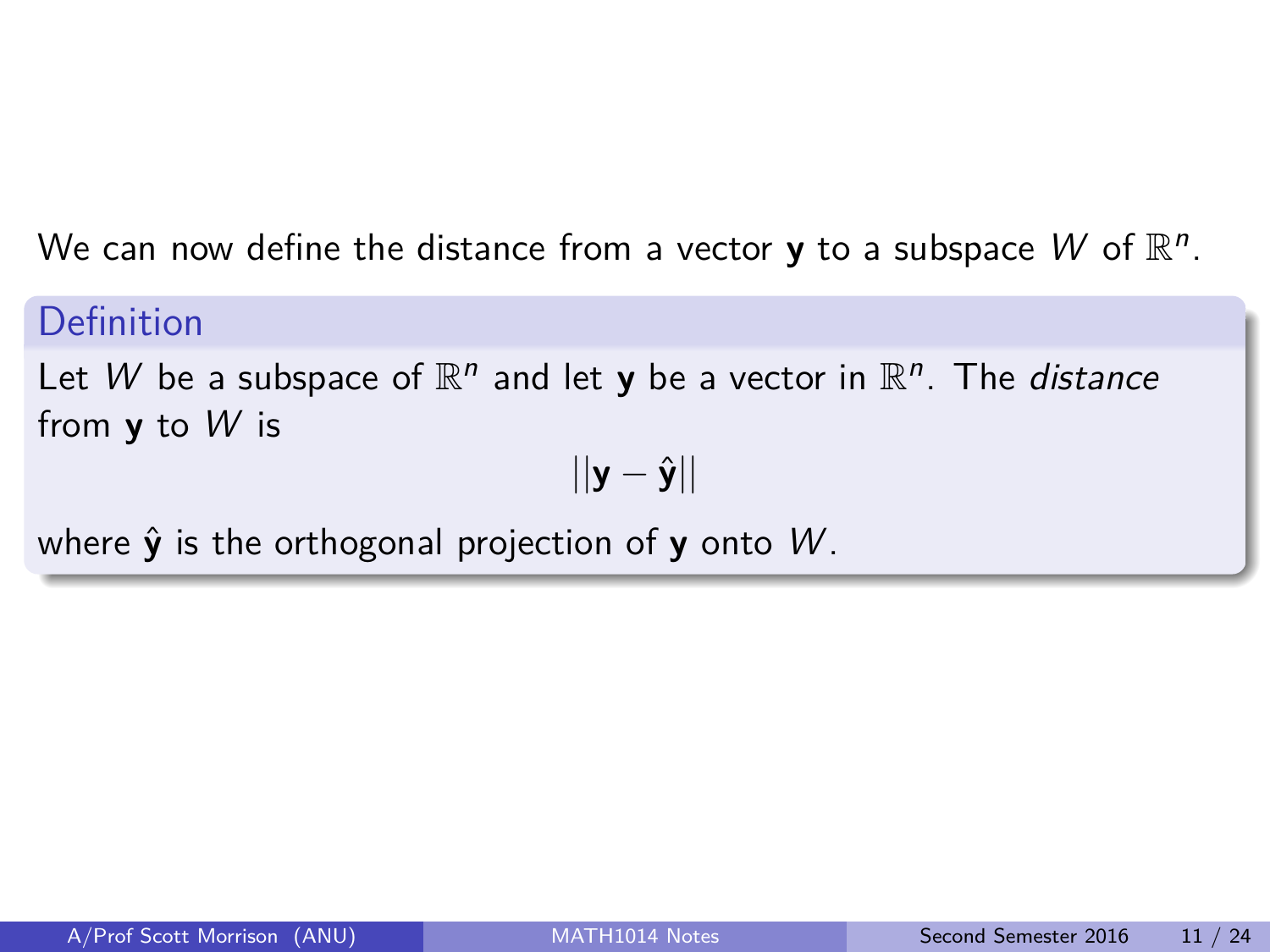We can now define the distance from a vector **y** to a subspace  $W$  of  $\mathbb{R}^n$ .

#### Definition

Let W be a subspace of  $\mathbb{R}^n$  and let **y** be a vector in  $\mathbb{R}^n$ . The *distance* from **y** to W is

 $||\mathbf{y} - \hat{\mathbf{y}}||$ 

where  $\hat{v}$  is the orthogonal projection of **y** onto W.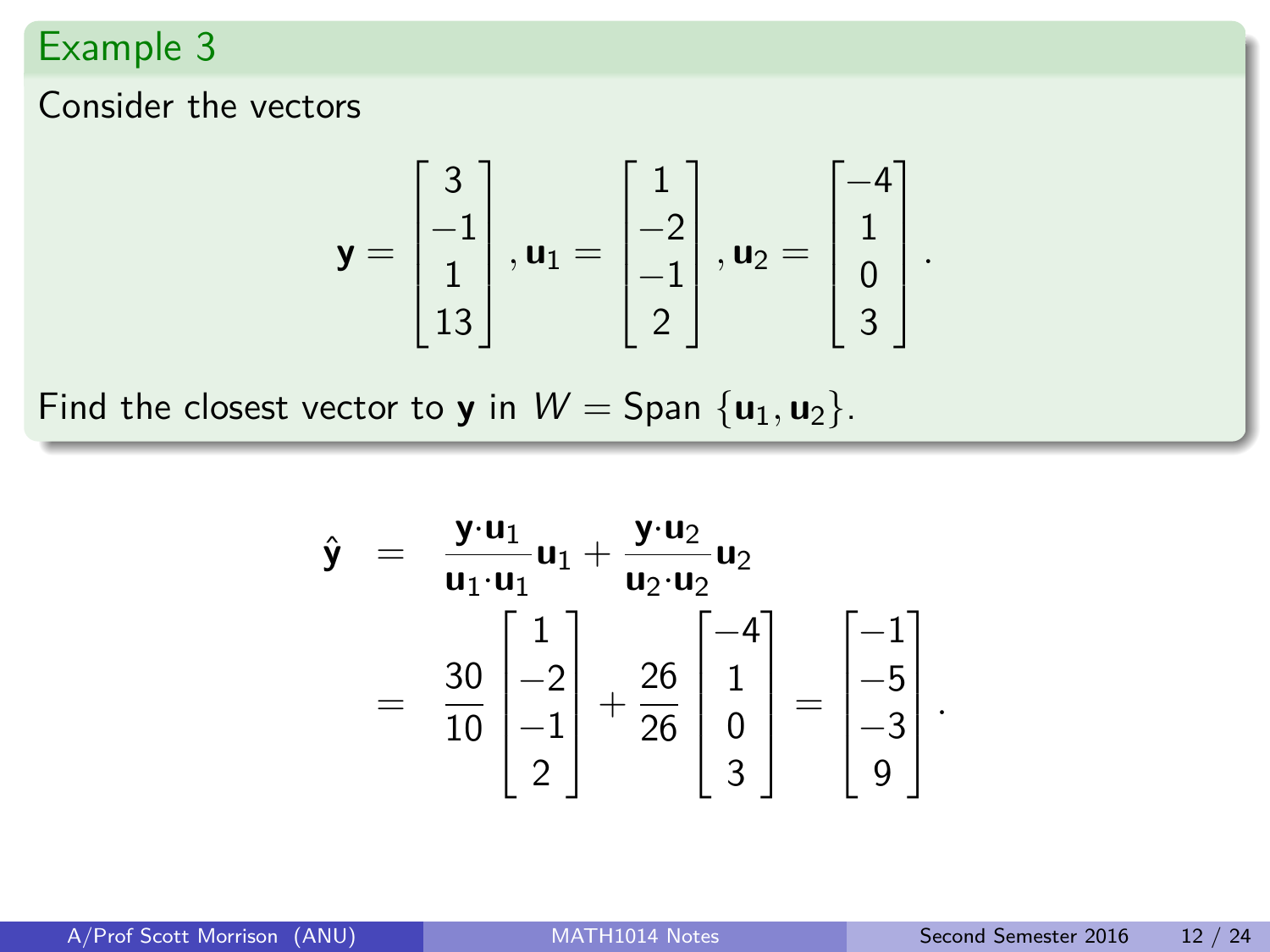### Example 3

Consider the vectors

$$
\mathbf{y} = \begin{bmatrix} 3 \\ -1 \\ 1 \\ 13 \end{bmatrix}, \mathbf{u}_1 = \begin{bmatrix} 1 \\ -2 \\ -1 \\ 2 \end{bmatrix}, \mathbf{u}_2 = \begin{bmatrix} -4 \\ 1 \\ 0 \\ 3 \end{bmatrix}
$$

Find the closest vector to **y** in  $W =$  Span  $\{u_1, u_2\}$ .

$$
\hat{\mathbf{y}} = \frac{\mathbf{y} \cdot \mathbf{u}_1}{\mathbf{u}_1 \cdot \mathbf{u}_1} \mathbf{u}_1 + \frac{\mathbf{y} \cdot \mathbf{u}_2}{\mathbf{u}_2 \cdot \mathbf{u}_2} \mathbf{u}_2
$$
\n
$$
= \frac{30}{10} \begin{bmatrix} 1 \\ -2 \\ -1 \\ 2 \end{bmatrix} + \frac{26}{26} \begin{bmatrix} -4 \\ 1 \\ 0 \\ 3 \end{bmatrix} = \begin{bmatrix} -1 \\ -5 \\ -3 \\ 9 \end{bmatrix}
$$

*.*

*.*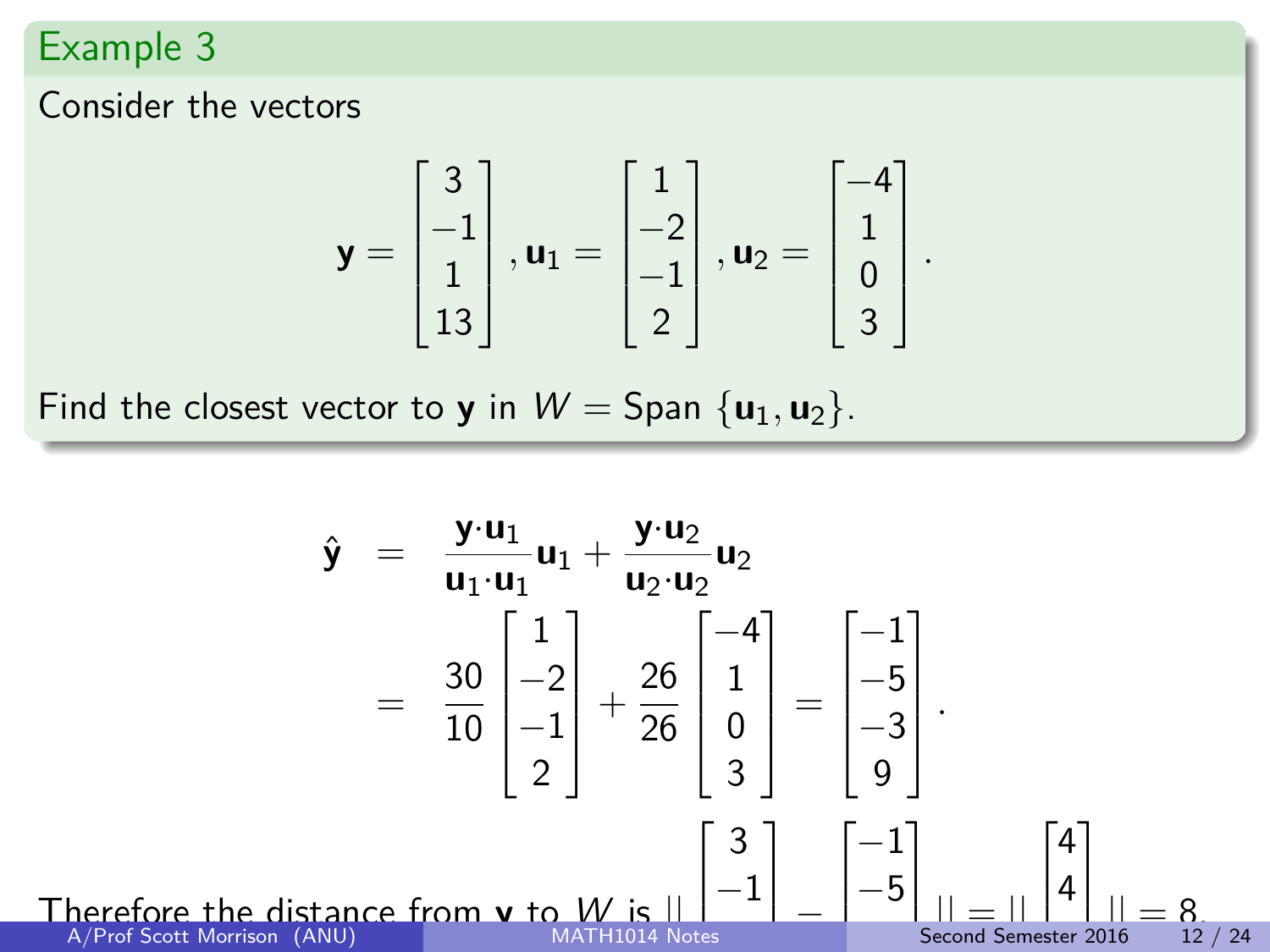### Example 3

**Therefore**<br>A/Prof So

Consider the vectors

$$
\mathbf{y} = \begin{bmatrix} 3 \\ -1 \\ 1 \\ 13 \end{bmatrix}, \mathbf{u}_1 = \begin{bmatrix} 1 \\ -2 \\ -1 \\ 2 \end{bmatrix}, \mathbf{u}_2 = \begin{bmatrix} -4 \\ 1 \\ 0 \\ 3 \end{bmatrix}
$$

*.*

Find the closest vector to **y** in  $W =$  Span  $\{u_1, u_2\}$ .

$$
\hat{\mathbf{y}} = \frac{\mathbf{y} \cdot \mathbf{u}_1}{\mathbf{u}_1 \cdot \mathbf{u}_1} \mathbf{u}_1 + \frac{\mathbf{y} \cdot \mathbf{u}_2}{\mathbf{u}_2 \cdot \mathbf{u}_2} \mathbf{u}_2
$$
\n
$$
= \frac{30}{10} \begin{bmatrix} 1 \\ -2 \\ -1 \\ 2 \end{bmatrix} + \frac{26}{26} \begin{bmatrix} -4 \\ 1 \\ 0 \\ 3 \end{bmatrix} = \begin{bmatrix} -1 \\ -5 \\ -3 \\ 9 \end{bmatrix}.
$$
\nTherefore the distance from **v** to  $M$ , is  $|| \begin{bmatrix} 3 \\ -1 \\ -3 \end{bmatrix} = \begin{bmatrix} -1 \\ -5 \\ -5 \\ 9 \end{bmatrix}$   $|| \underline{u} || = || \begin{bmatrix} 4 \\ 4 \\ 1 \end{bmatrix} || = 8$   
\nA) Project Section (AND)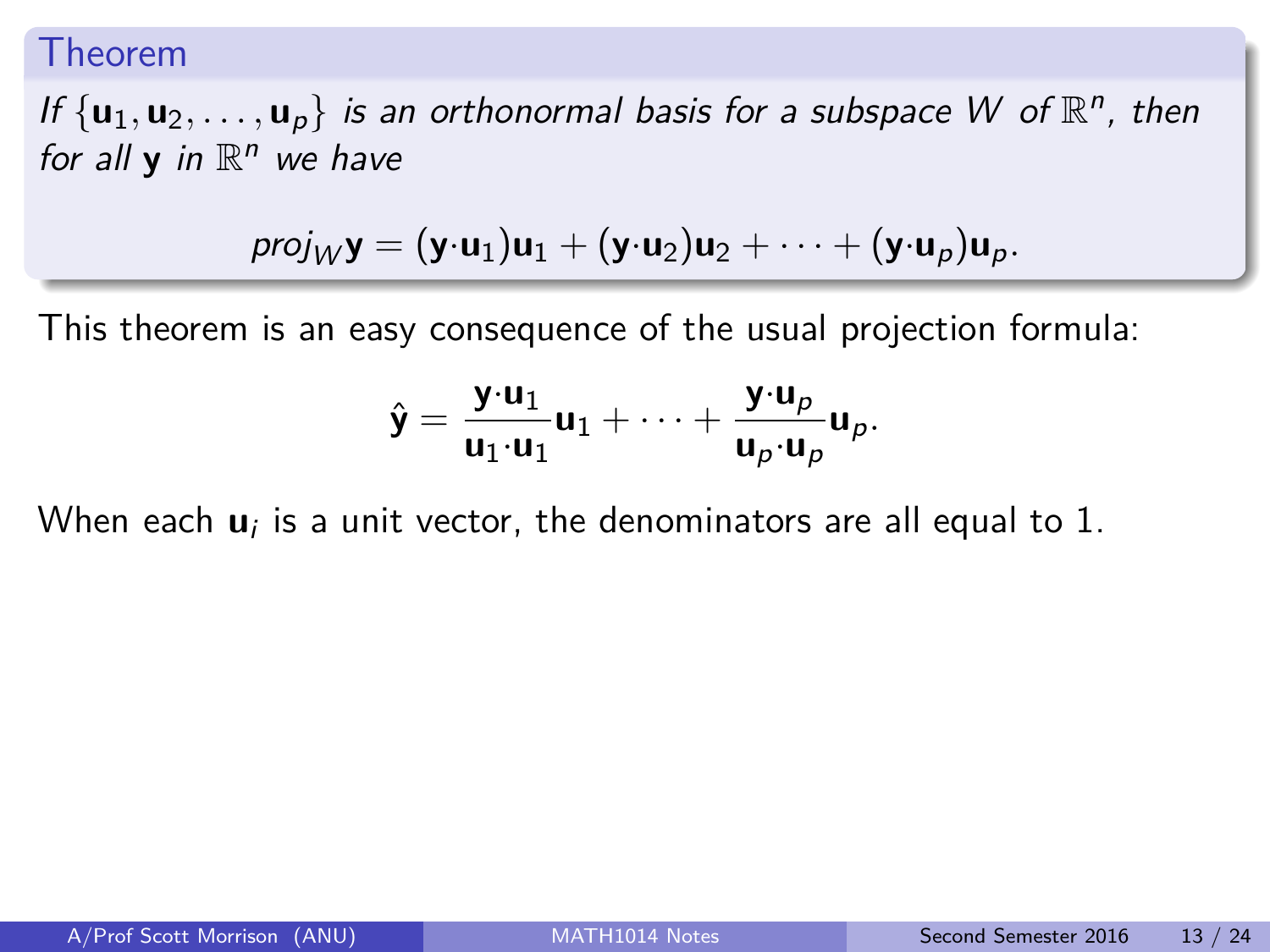#### Theorem

If  $\{u_1, u_2, \ldots, u_p\}$  is an orthonormal basis for a subspace W of  $\mathbb{R}^n$ , then for all  $y$  in  $\mathbb{R}^n$  we have

$$
proj_W \mathbf{y} = (\mathbf{y} \cdot \mathbf{u}_1) \mathbf{u}_1 + (\mathbf{y} \cdot \mathbf{u}_2) \mathbf{u}_2 + \cdots + (\mathbf{y} \cdot \mathbf{u}_p) \mathbf{u}_p.
$$

This theorem is an easy consequence of the usual projection formula:

$$
\hat{\mathbf{y}} = \frac{\mathbf{y} \cdot \mathbf{u}_1}{\mathbf{u}_1 \cdot \mathbf{u}_1} \mathbf{u}_1 + \cdots + \frac{\mathbf{y} \cdot \mathbf{u}_p}{\mathbf{u}_p \cdot \mathbf{u}_p} \mathbf{u}_p.
$$

When each  $\mathbf{u}_i$  is a unit vector, the denominators are all equal to  $1.$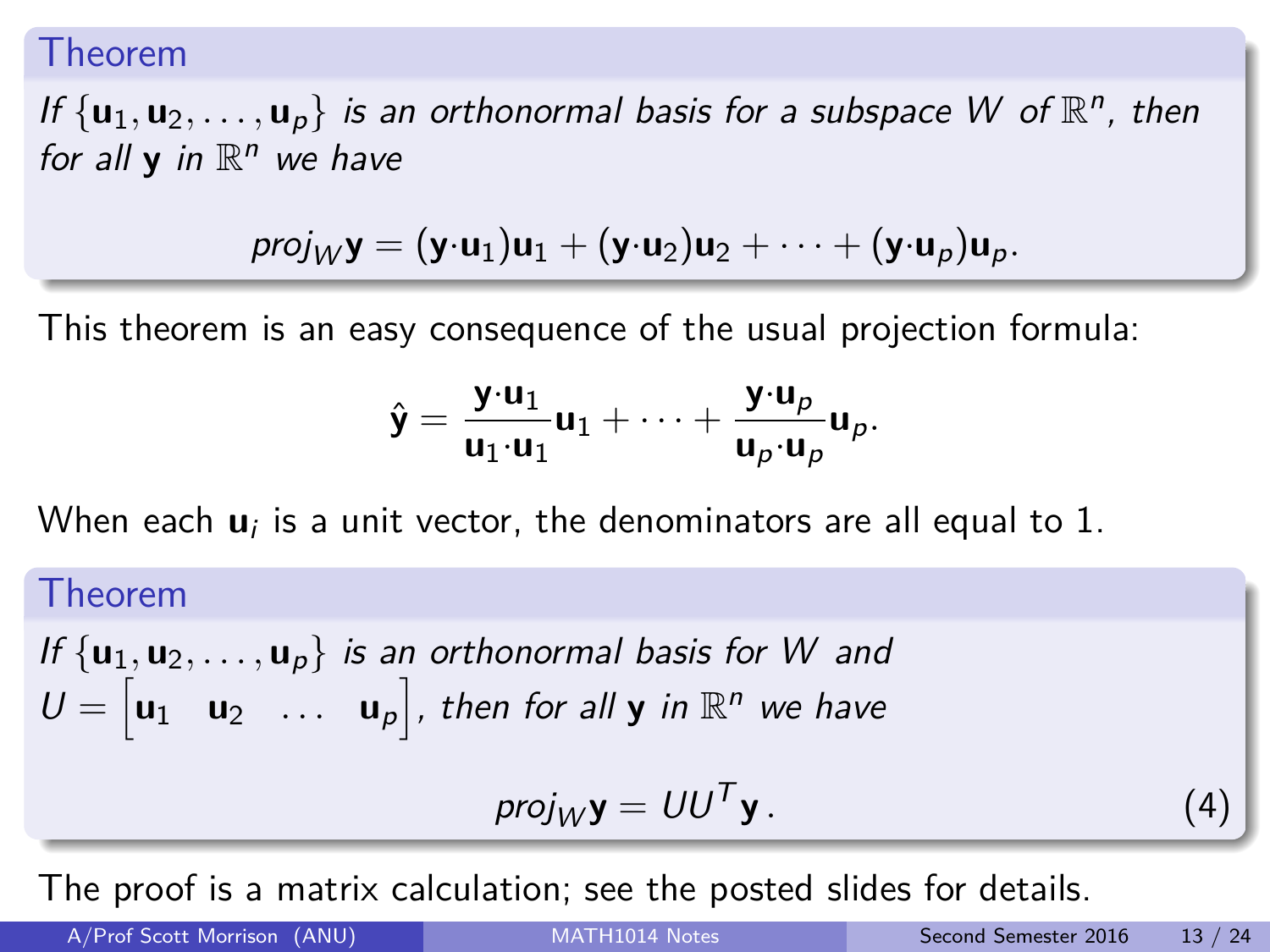#### Theorem

If  $\{u_1, u_2, \ldots, u_p\}$  is an orthonormal basis for a subspace W of  $\mathbb{R}^n$ , then for all  $y$  in  $\mathbb{R}^n$  we have

$$
proj_W \mathbf{y} = (\mathbf{y} \cdot \mathbf{u}_1) \mathbf{u}_1 + (\mathbf{y} \cdot \mathbf{u}_2) \mathbf{u}_2 + \cdots + (\mathbf{y} \cdot \mathbf{u}_p) \mathbf{u}_p.
$$

This theorem is an easy consequence of the usual projection formula:

$$
\hat{\mathbf{y}} = \frac{\mathbf{y} \cdot \mathbf{u}_1}{\mathbf{u}_1 \cdot \mathbf{u}_1} \mathbf{u}_1 + \cdots + \frac{\mathbf{y} \cdot \mathbf{u}_p}{\mathbf{u}_p \cdot \mathbf{u}_p} \mathbf{u}_p.
$$

When each  $\mathbf{u}_i$  is a unit vector, the denominators are all equal to  $1.$ 

Theorem  
\nIf {
$$
\mathbf{u}_1, \mathbf{u}_2, ..., \mathbf{u}_p
$$
} is an orthonormal basis for W and  
\n $U = [\mathbf{u}_1 \quad \mathbf{u}_2 \quad ... \quad \mathbf{u}_p]$ , then for all  $\mathbf{y}$  in  $\mathbb{R}^n$  we have  
\n
$$
proj_W \mathbf{y} = U U^T \mathbf{y}.
$$
\n(4)

The proof is a matrix calculation; see the posted slides for details.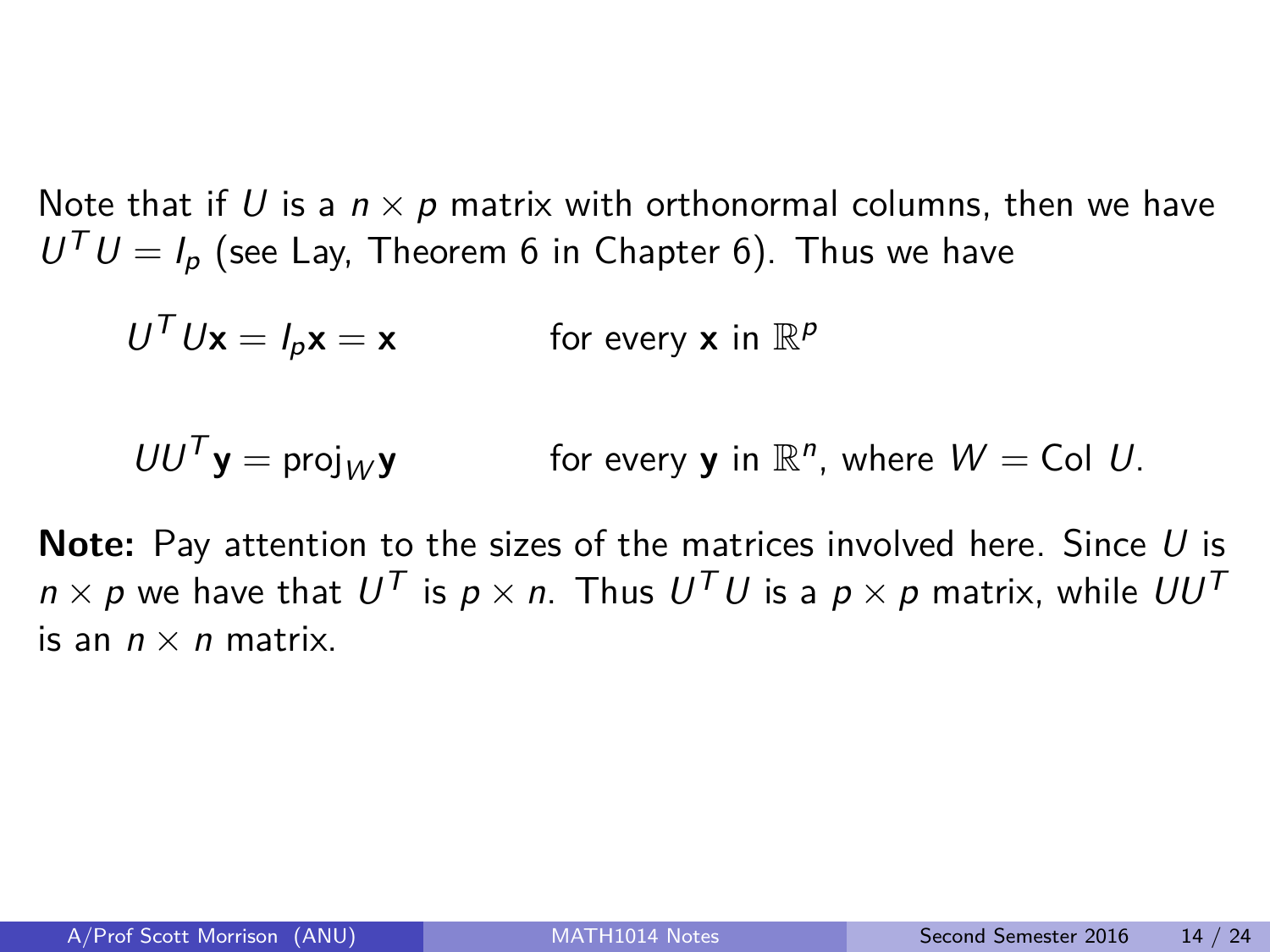Note that if U is a  $n \times p$  matrix with orthonormal columns, then we have  $U^T U = I_p$  (see Lay, Theorem 6 in Chapter 6). Thus we have

$$
U^T U \mathbf{x} = I_p \mathbf{x} = \mathbf{x} \qquad \text{for every } \mathbf{x} \text{ in } \mathbb{R}^p
$$

$$
UU^T \mathbf{y} = \text{proj}_W \mathbf{y}
$$
 for every **y** in  $\mathbb{R}^n$ , where  $W = \text{Col } U$ .

**Note:** Pay attention to the sizes of the matrices involved here. Since U is  $n \times p$  we have that  $U^{\mathcal{T}}$  is  $p \times n$ . Thus  $U^{\mathcal{T}} U$  is a  $p \times p$  matrix, while  $UU^{\mathcal{T}}$ is an  $n \times n$  matrix.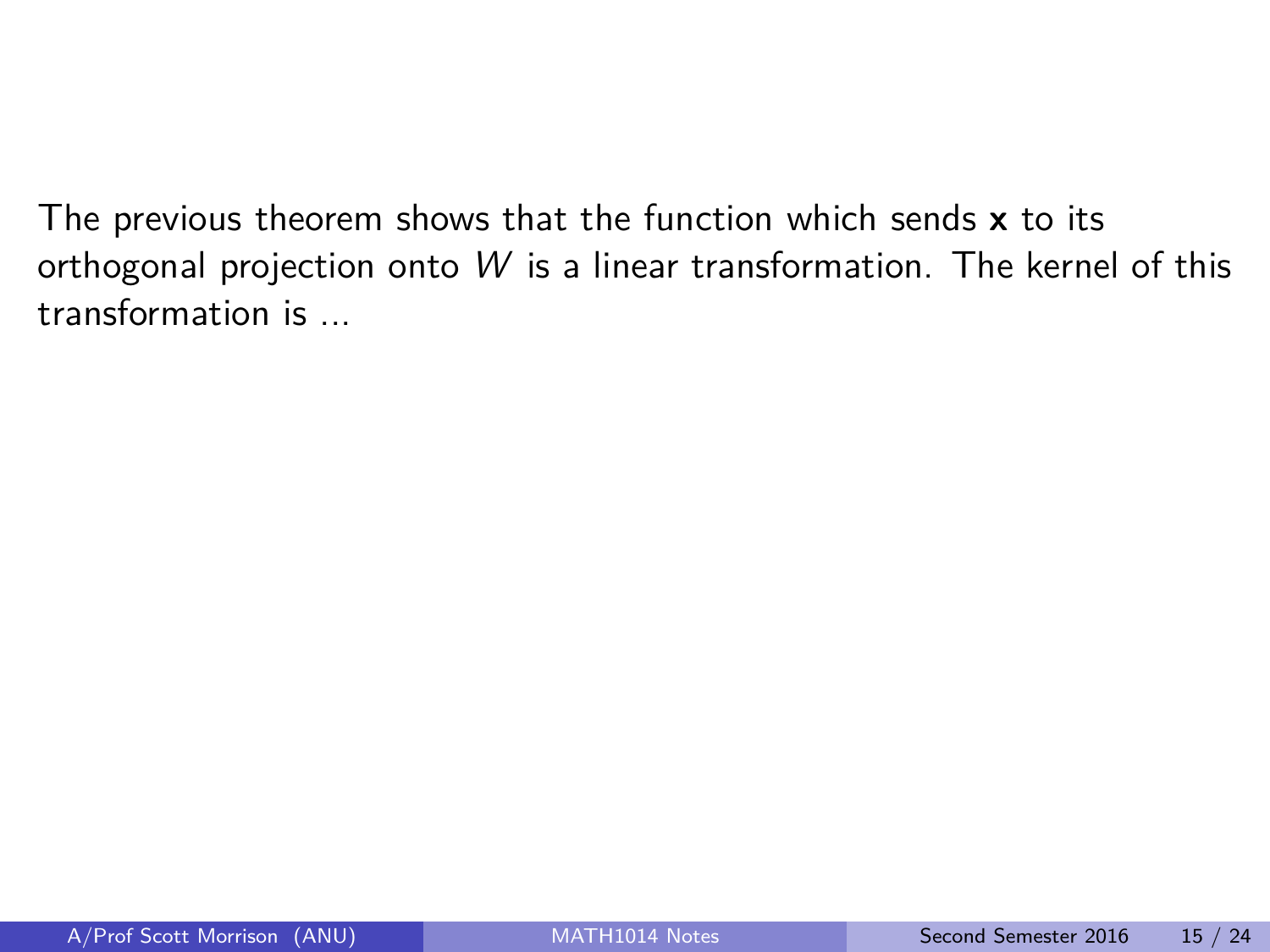The previous theorem shows that the function which sends **x** to its orthogonal projection onto W is a linear transformation. The kernel of this transformation is ...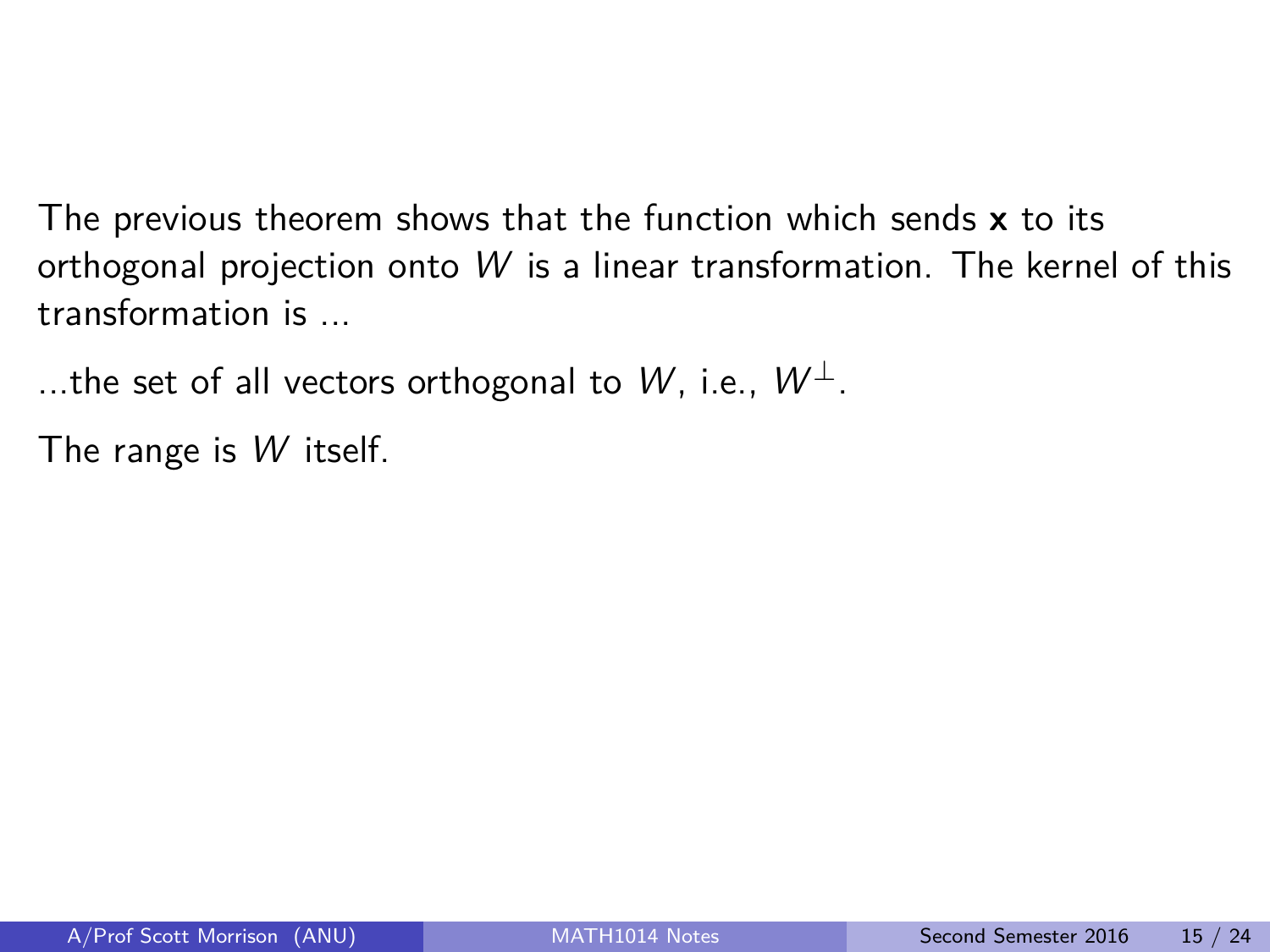The previous theorem shows that the function which sends **x** to its orthogonal projection onto W is a linear transformation. The kernel of this transformation is ...

...the set of all vectors orthogonal to W, i.e.,  $W^{\perp}$ .

The range is W itself.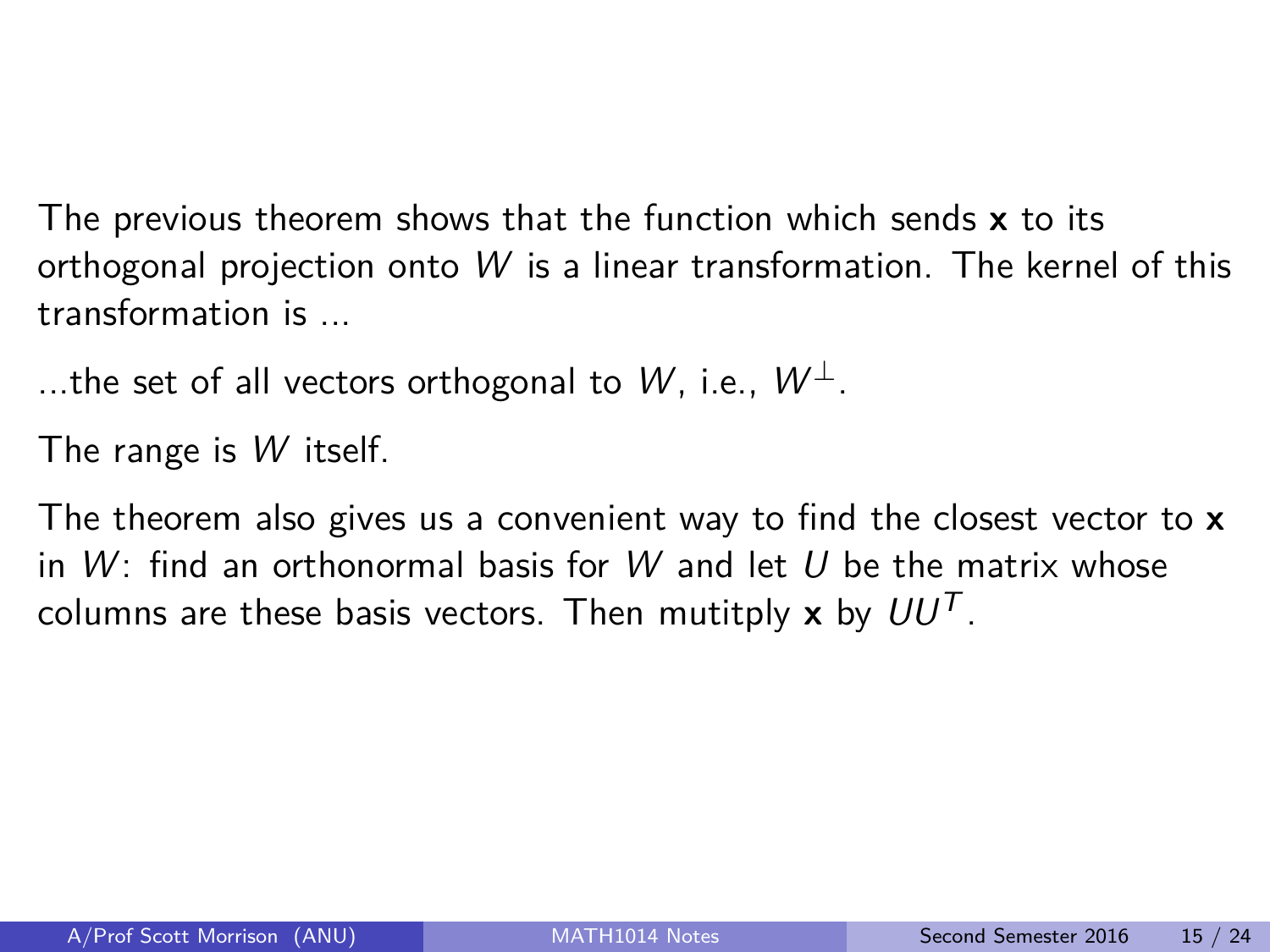The previous theorem shows that the function which sends **x** to its orthogonal projection onto W is a linear transformation. The kernel of this transformation is ...

...the set of all vectors orthogonal to W, i.e.,  $W^{\perp}$ .

The range is W itself.

The theorem also gives us a convenient way to find the closest vector to **x** in  $W$ : find an orthonormal basis for W and let U be the matrix whose columns are these basis vectors. Then mutitply  $x$  by  $UU<sup>T</sup>$ .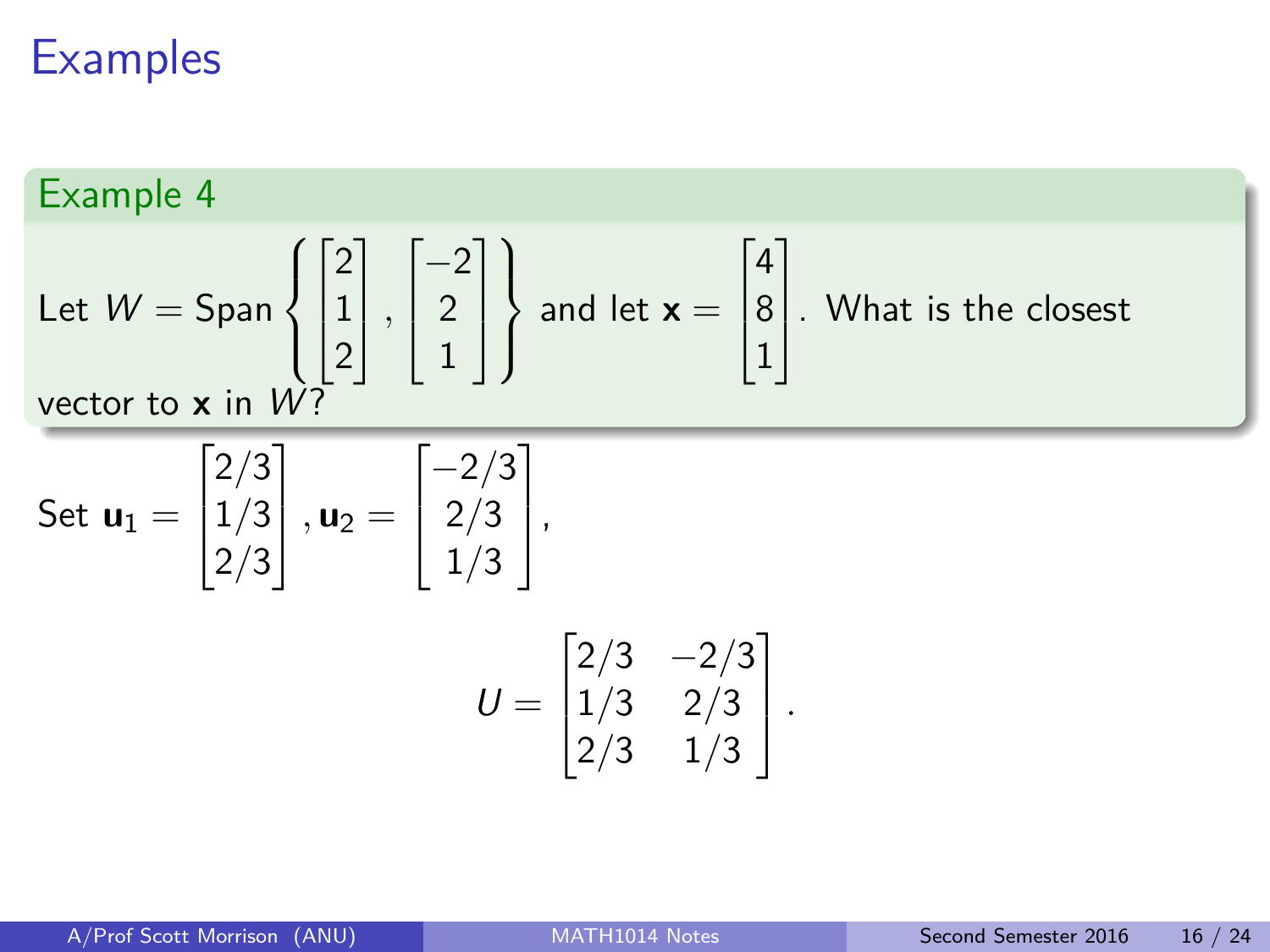# **Examples**

### Example 4

Let 
$$
W = \text{Span}\left\{ \begin{bmatrix} 2 \\ 1 \\ 2 \end{bmatrix}, \begin{bmatrix} -2 \\ 2 \\ 1 \end{bmatrix} \right\}
$$
 and let  $\mathbf{x} = \begin{bmatrix} 4 \\ 8 \\ 1 \end{bmatrix}$ . What is the closest vector to  $\mathbf{x}$  in  $W$ ?

Set 
$$
\mathbf{u}_1 = \begin{bmatrix} 2/3 \\ 1/3 \\ 2/3 \end{bmatrix}
$$
,  $\mathbf{u}_2 = \begin{bmatrix} -2/3 \\ 2/3 \\ 1/3 \end{bmatrix}$ ,  

$$
U = \begin{bmatrix} 2/3 & -2/3 \\ 1/3 & 2/3 \\ 2/3 & 1/3 \end{bmatrix}.
$$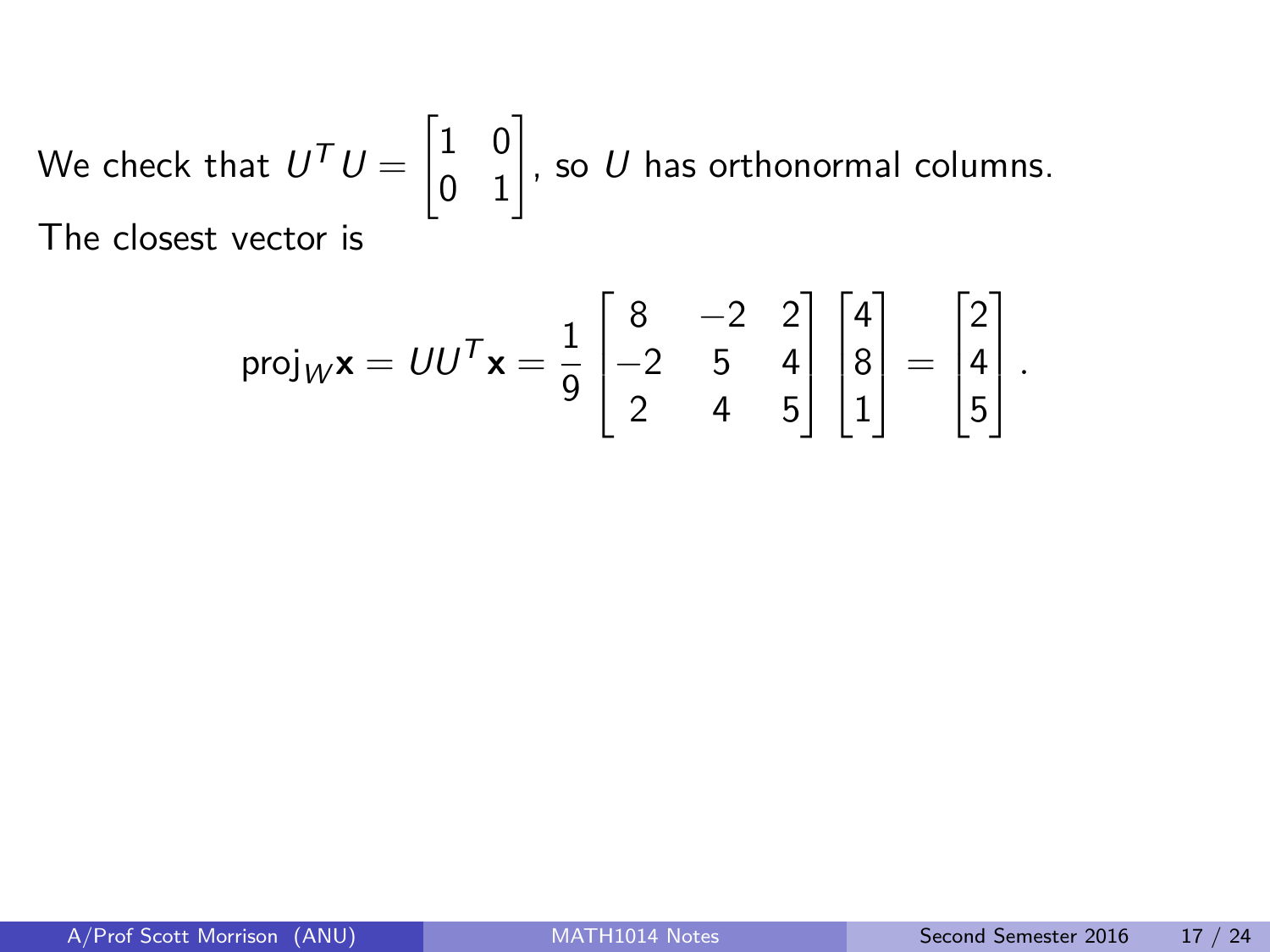We check that 
$$
U^T U = \begin{bmatrix} 1 & 0 \\ 0 & 1 \end{bmatrix}
$$
, so U has orthonormal columns.  
The closest vector is

$$
\text{proj}_{W} \mathbf{x} = U U^{T} \mathbf{x} = \frac{1}{9} \begin{bmatrix} 8 & -2 & 2 \\ -2 & 5 & 4 \\ 2 & 4 & 5 \end{bmatrix} \begin{bmatrix} 4 \\ 8 \\ 1 \end{bmatrix} = \begin{bmatrix} 2 \\ 4 \\ 5 \end{bmatrix}.
$$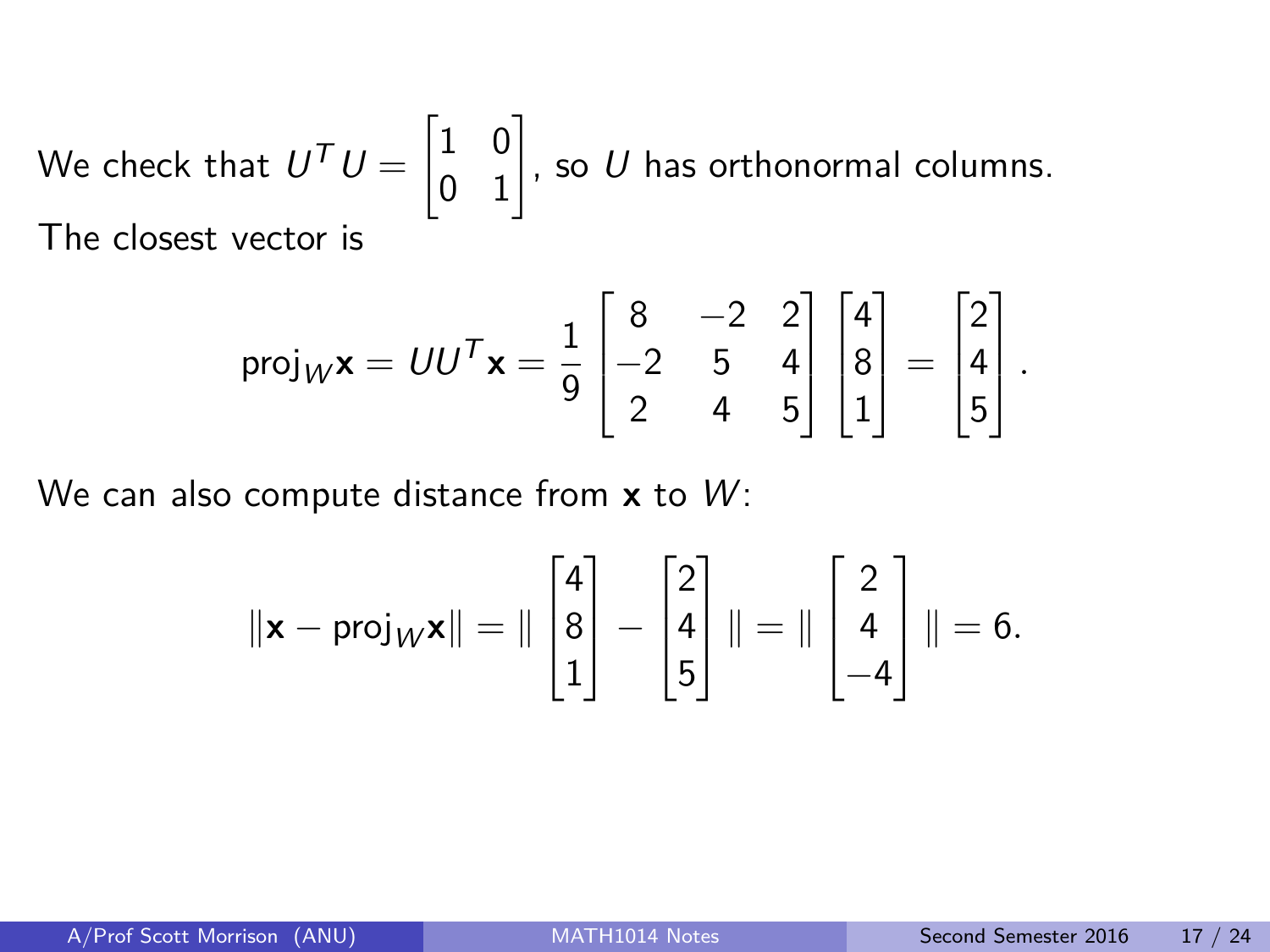We check that 
$$
U^T U = \begin{bmatrix} 1 & 0 \\ 0 & 1 \end{bmatrix}
$$
, so U has orthonormal columns.  
The closest vector is

$$
\text{proj}_{W} \mathbf{x} = U U^{T} \mathbf{x} = \frac{1}{9} \begin{bmatrix} 8 & -2 & 2 \\ -2 & 5 & 4 \\ 2 & 4 & 5 \end{bmatrix} \begin{bmatrix} 4 \\ 8 \\ 1 \end{bmatrix} = \begin{bmatrix} 2 \\ 4 \\ 5 \end{bmatrix}.
$$

We can also compute distance from x to W:

$$
\|\mathbf{x} - \text{proj}_{W}\mathbf{x}\| = \|\begin{bmatrix} 4 \\ 8 \\ 1 \end{bmatrix} - \begin{bmatrix} 2 \\ 4 \\ 5 \end{bmatrix}\| = \|\begin{bmatrix} 2 \\ 4 \\ -4 \end{bmatrix}\| = 6.
$$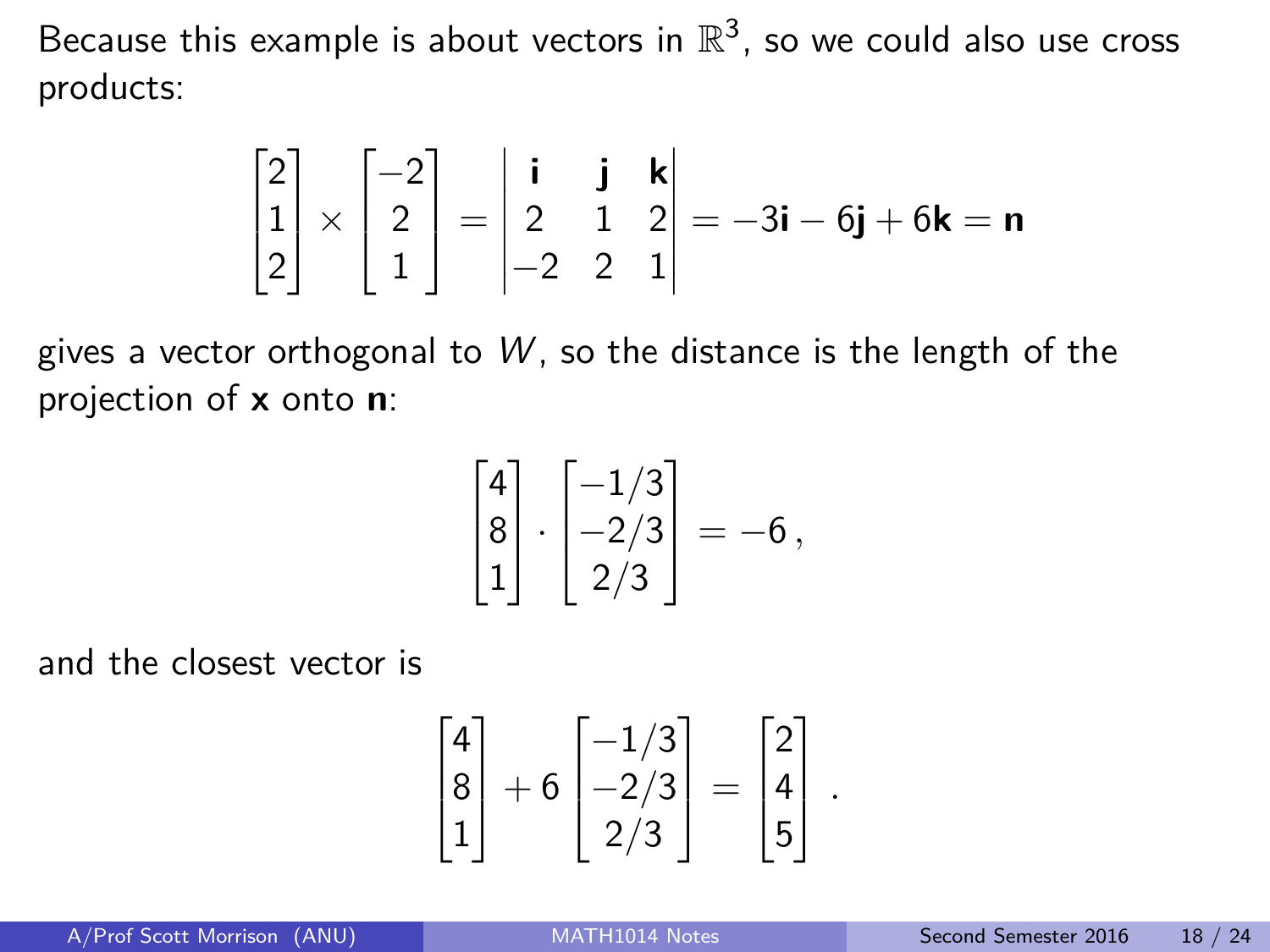Because this example is about vectors in  $\mathbb{R}^3$ , so we could also use cross products:

$$
\begin{bmatrix} 2 \\ 1 \\ 2 \end{bmatrix} \times \begin{bmatrix} -2 \\ 2 \\ 1 \end{bmatrix} = \begin{vmatrix} \mathbf{i} & \mathbf{j} & \mathbf{k} \\ 2 & 1 & 2 \\ -2 & 2 & 1 \end{vmatrix} = -3\mathbf{i} - 6\mathbf{j} + 6\mathbf{k} = \mathbf{n}
$$

gives a vector orthogonal to  $W$ , so the distance is the length of the projection of **x** onto **n**:

$$
\begin{bmatrix} 4 \\ 8 \\ 1 \end{bmatrix} \cdot \begin{bmatrix} -1/3 \\ -2/3 \\ 2/3 \end{bmatrix} = -6,
$$

and the closest vector is

$$
\begin{bmatrix} 4 \\ 8 \\ 1 \end{bmatrix} + 6 \begin{bmatrix} -1/3 \\ -2/3 \\ 2/3 \end{bmatrix} = \begin{bmatrix} 2 \\ 4 \\ 5 \end{bmatrix}.
$$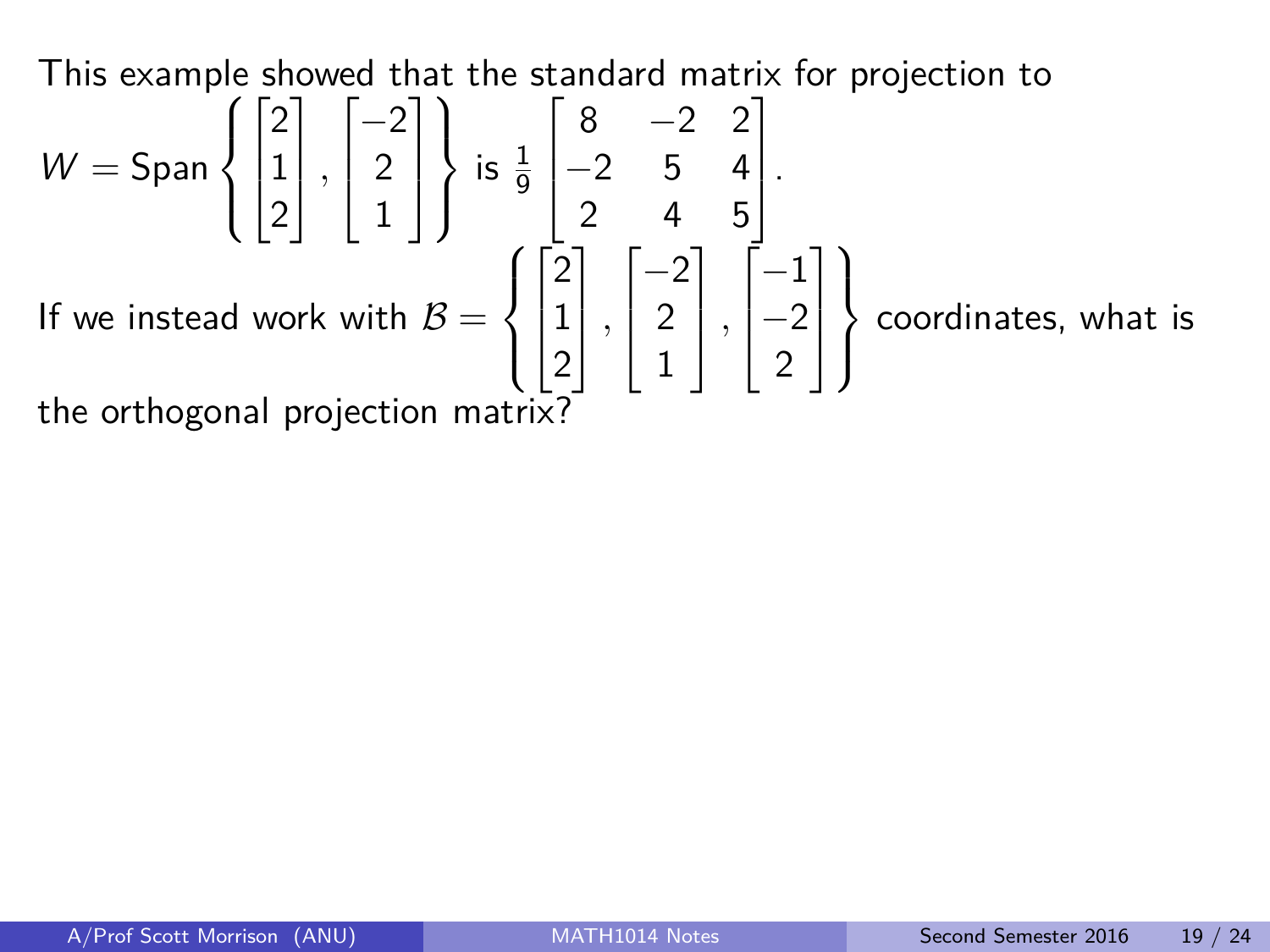This example showed that the standard matrix for projection to

$$
W = \text{Span}\left\{ \begin{bmatrix} 2 \\ 1 \\ 2 \end{bmatrix}, \begin{bmatrix} -2 \\ 2 \\ 1 \end{bmatrix} \right\} \text{ is } \frac{1}{9} \begin{bmatrix} 8 & -2 & 2 \\ -2 & 5 & 4 \\ 2 & 4 & 5 \end{bmatrix}.
$$
  
If we instead work with  $B = \left\{ \begin{bmatrix} 2 \\ 1 \\ 2 \end{bmatrix}, \begin{bmatrix} -2 \\ 2 \\ 1 \end{bmatrix}, \begin{bmatrix} -1 \\ -2 \\ 2 \end{bmatrix} \right\}$  coordinates, what is

the orthogonal projection matrix?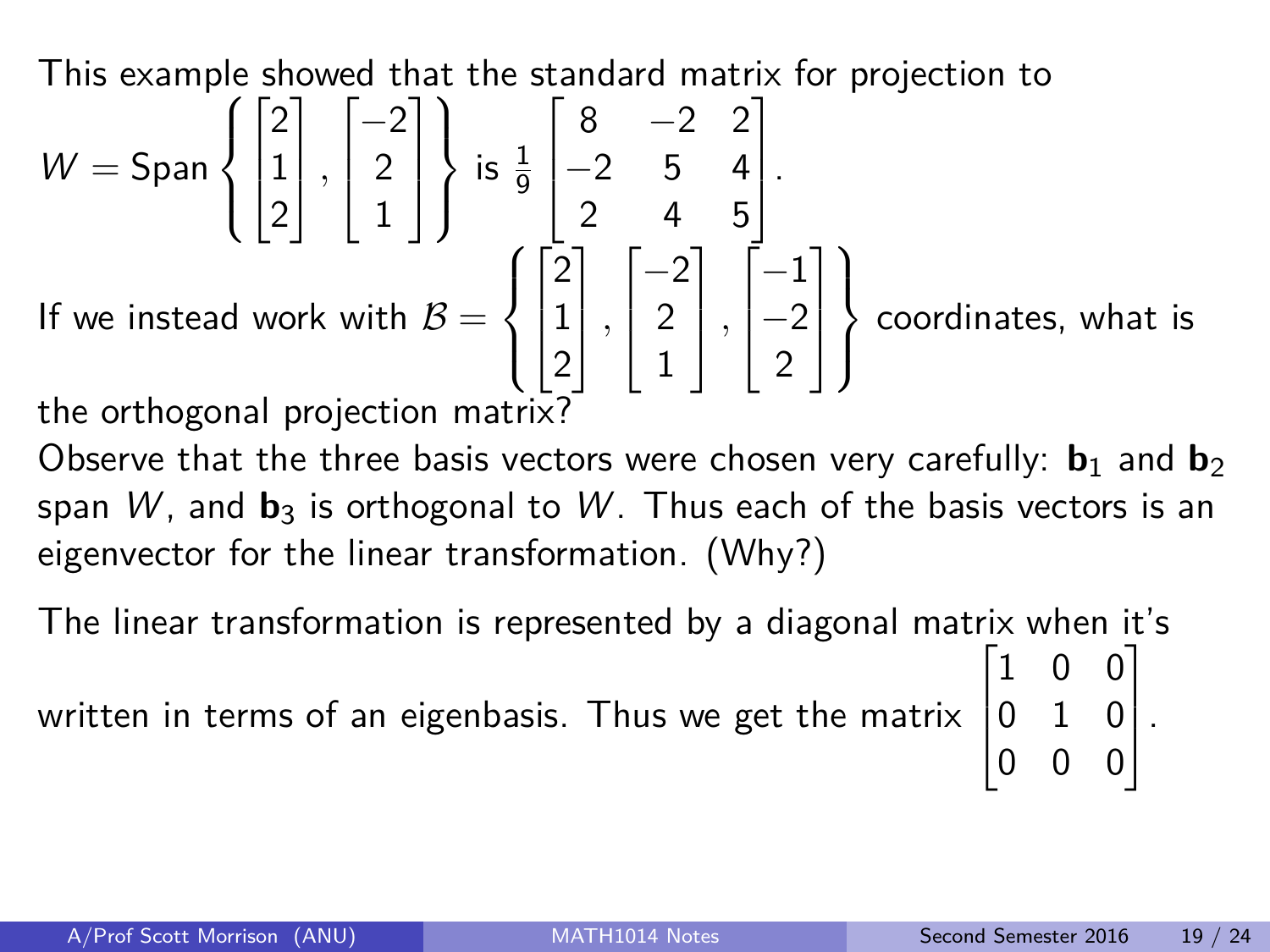This example showed that the standard matrix for projection to

 $W =$ Span  $\sqrt{ }$  $\int$  $\mathcal{L}$  $\sqrt{ }$  $\overline{\phantom{a}}$ 2 1 2 1 *,*  $\sqrt{ }$  $\overline{\phantom{a}}$  $-2$ 2 1 1  $\overline{\phantom{a}}$  $\mathcal{L}$  $\mathcal{L}$  $\int$ is  $\frac{1}{9}$  $\sqrt{ }$  $\overline{\phantom{a}}$ 8 −2 2  $-2$  5 4 2 4 5 1  $\vert \cdot$ If we instead work with  $\mathcal{B}=$  $\sqrt{ }$  $\int$  $\overline{\mathcal{L}}$  $\sqrt{ }$  $\overline{\phantom{a}}$ 2 1 2 1 *,*  $\sqrt{ }$  $\overline{\phantom{a}}$  $-2$ 2 1 1 *,*  $\sqrt{ }$  $\overline{\phantom{a}}$ −1  $-2$ 2 1  $\overline{\phantom{a}}$  $\mathcal{L}$  $\overline{\mathcal{L}}$  $\int$ coordinates, what is the orthogonal projection matrix?

Observe that the three basis vectors were chosen very carefully:  $\mathbf{b}_1$  and  $\mathbf{b}_2$ span W, and  $\mathbf{b}_3$  is orthogonal to W. Thus each of the basis vectors is an eigenvector for the linear transformation. (Why?)

The linear transformation is represented by a diagonal matrix when it's written in terms of an eigenbasis. Thus we get the matrix  $\lceil$  $\Big\}$ 1 0 0 0 1 0 0 0 0 1  $\vert \cdot$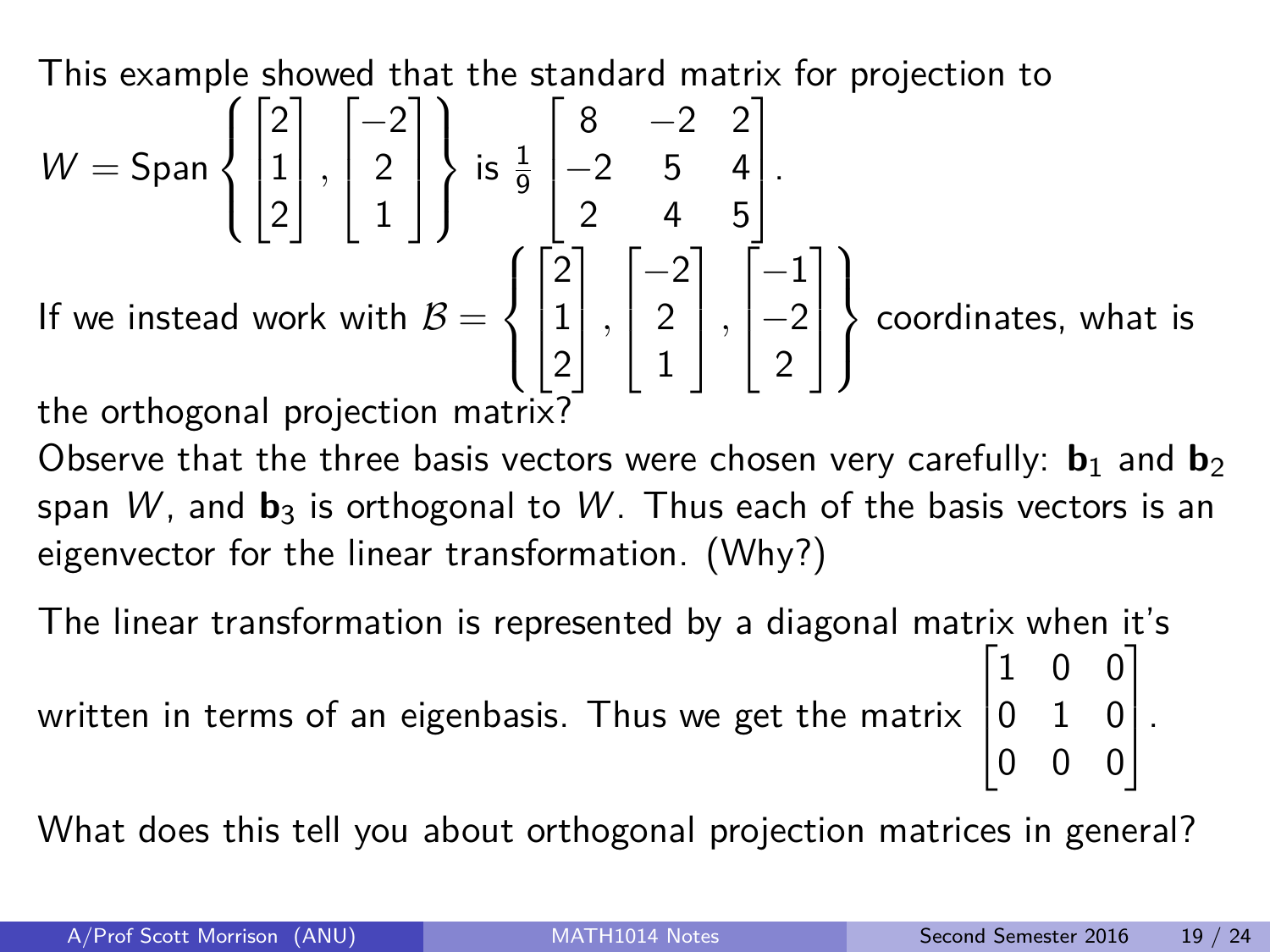This example showed that the standard matrix for projection to

 $W =$ Span  $\sqrt{ }$  $\int$  $\mathcal{L}$  $\sqrt{ }$  $\overline{\phantom{a}}$ 2 1 2 1 *,*  $\sqrt{ }$  $\overline{\phantom{a}}$  $-2$ 2 1 1  $\overline{\phantom{a}}$  $\mathcal{L}$  $\mathcal{L}$  $\int$ is  $\frac{1}{9}$  $\sqrt{ }$  $\overline{\phantom{a}}$ 8 −2 2  $-2$  5 4 2 4 5 1  $\vert \cdot$ If we instead work with  $\mathcal{B}=$  $\sqrt{ }$  $\int$  $\overline{\mathcal{L}}$  $\sqrt{ }$  $\overline{\phantom{a}}$ 2 1 2 1 *,*  $\sqrt{ }$  $\overline{\phantom{a}}$  $-2$ 2 1 1 *,*  $\sqrt{ }$  $\overline{\phantom{a}}$ −1  $-2$ 2 1  $\overline{\phantom{a}}$  $\mathcal{L}$  $\overline{\mathcal{L}}$  $\int$ coordinates, what is the orthogonal projection matrix?

Observe that the three basis vectors were chosen very carefully:  $\mathbf{b}_1$  and  $\mathbf{b}_2$ span W, and  $\mathbf{b}_3$  is orthogonal to W. Thus each of the basis vectors is an eigenvector for the linear transformation. (Why?)

The linear transformation is represented by a diagonal matrix when it's  $\lceil$ 1 0 0 1

written in terms of an eigenbasis. Thus we get the matrix  $\Big\}$ 0 1 0 0 0 0  $\vert \cdot$ 

What does this tell you about orthogonal projection matrices in general?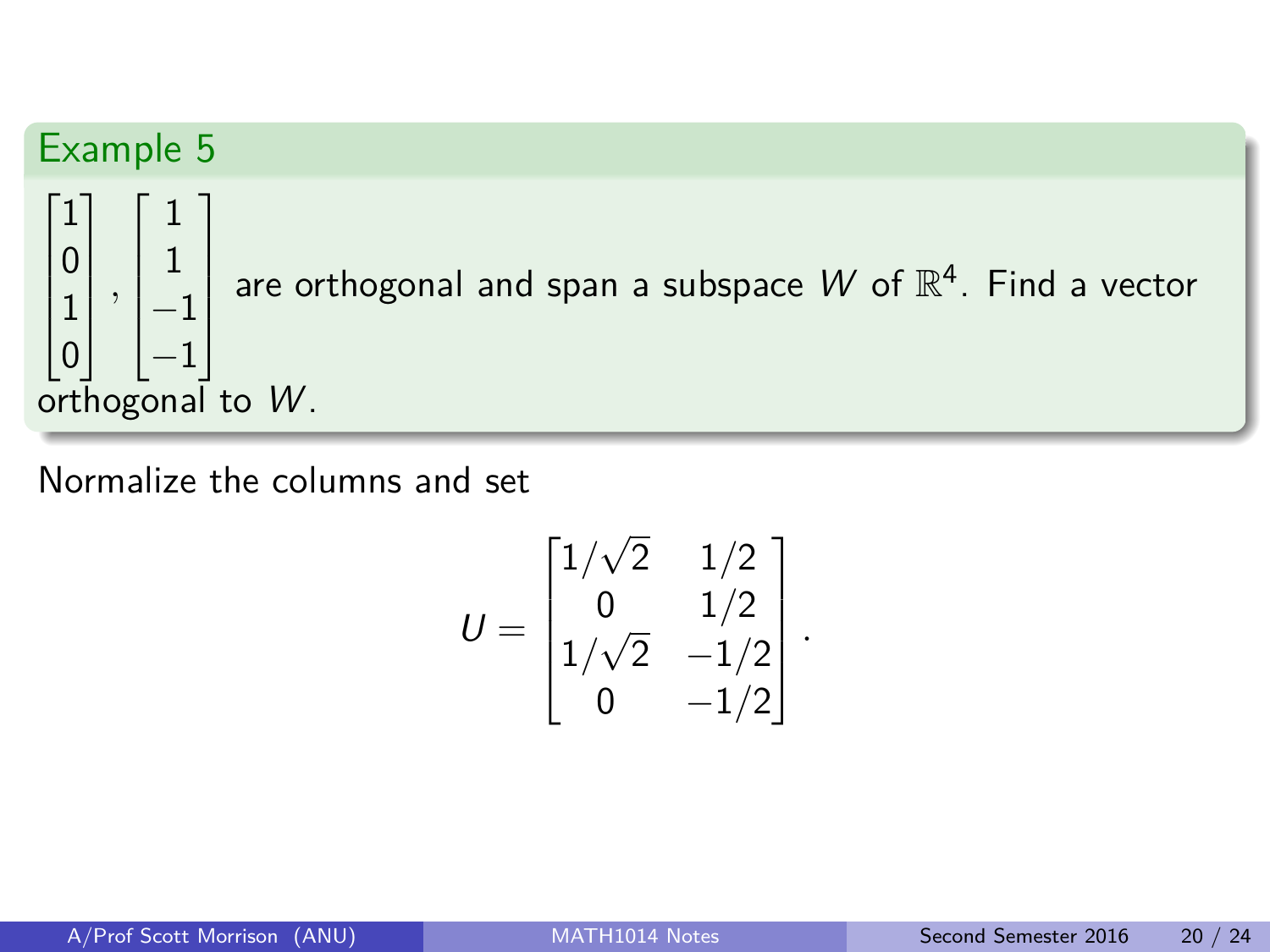

Normalize the columns and set

$$
U = \begin{bmatrix} 1/\sqrt{2} & 1/2 \\ 0 & 1/2 \\ 1/\sqrt{2} & -1/2 \\ 0 & -1/2 \end{bmatrix}.
$$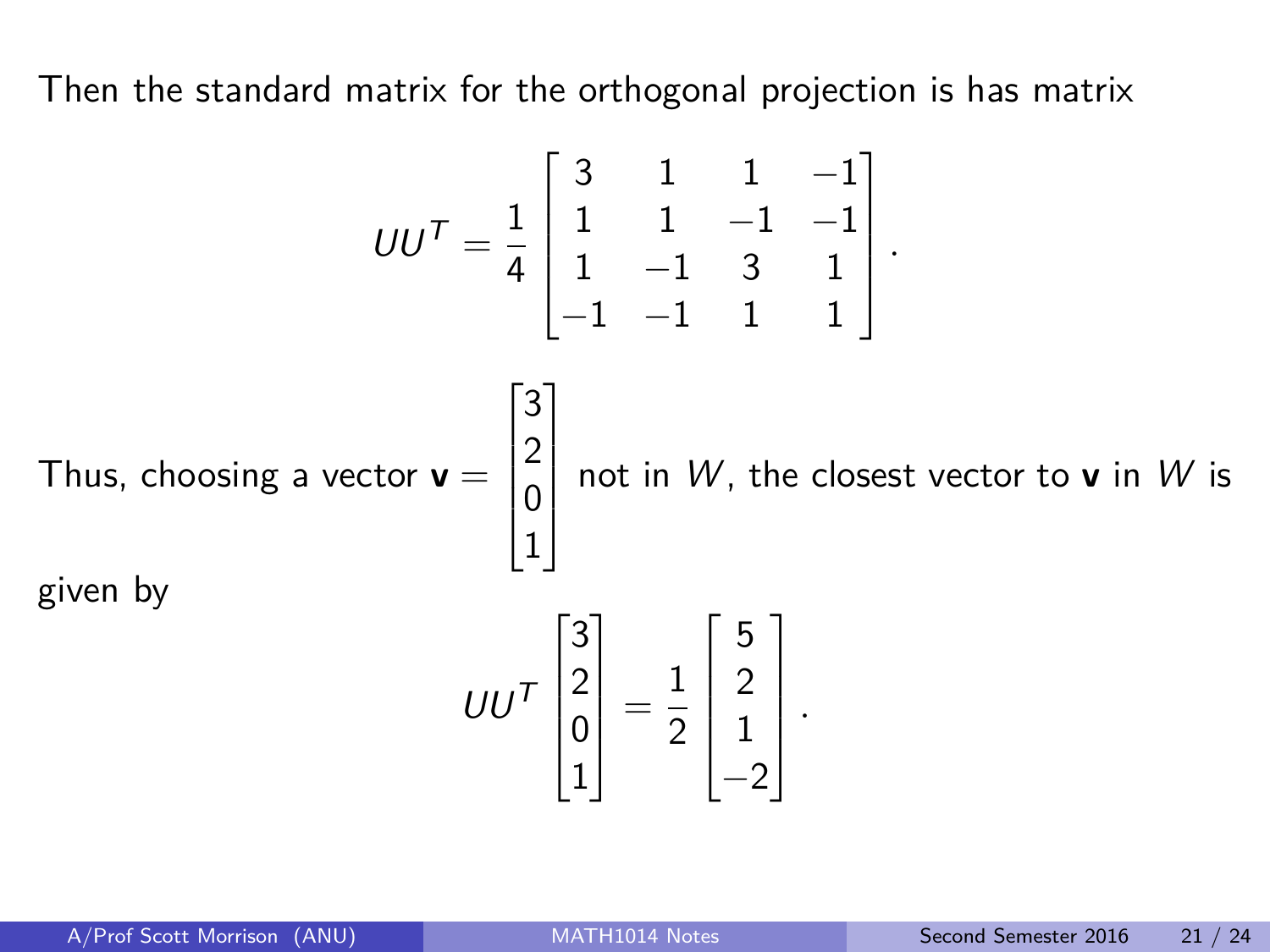Then the standard matrix for the orthogonal projection is has matrix

$$
UU^{T} = \frac{1}{4} \begin{bmatrix} 3 & 1 & 1 & -1 \\ 1 & 1 & -1 & -1 \\ 1 & -1 & 3 & 1 \\ -1 & -1 & 1 & 1 \end{bmatrix}.
$$
  
Thus, choosing a vector  $\mathbf{v} = \begin{bmatrix} 3 \\ 2 \\ 0 \\ 1 \end{bmatrix}$  not in W, the closest vector to  $\mathbf{v}$  in W is given by  

$$
UU^{T} \begin{bmatrix} 3 \\ 2 \\ 0 \\ 1 \end{bmatrix} = \frac{1}{2} \begin{bmatrix} 5 \\ 2 \\ 1 \\ -2 \end{bmatrix}.
$$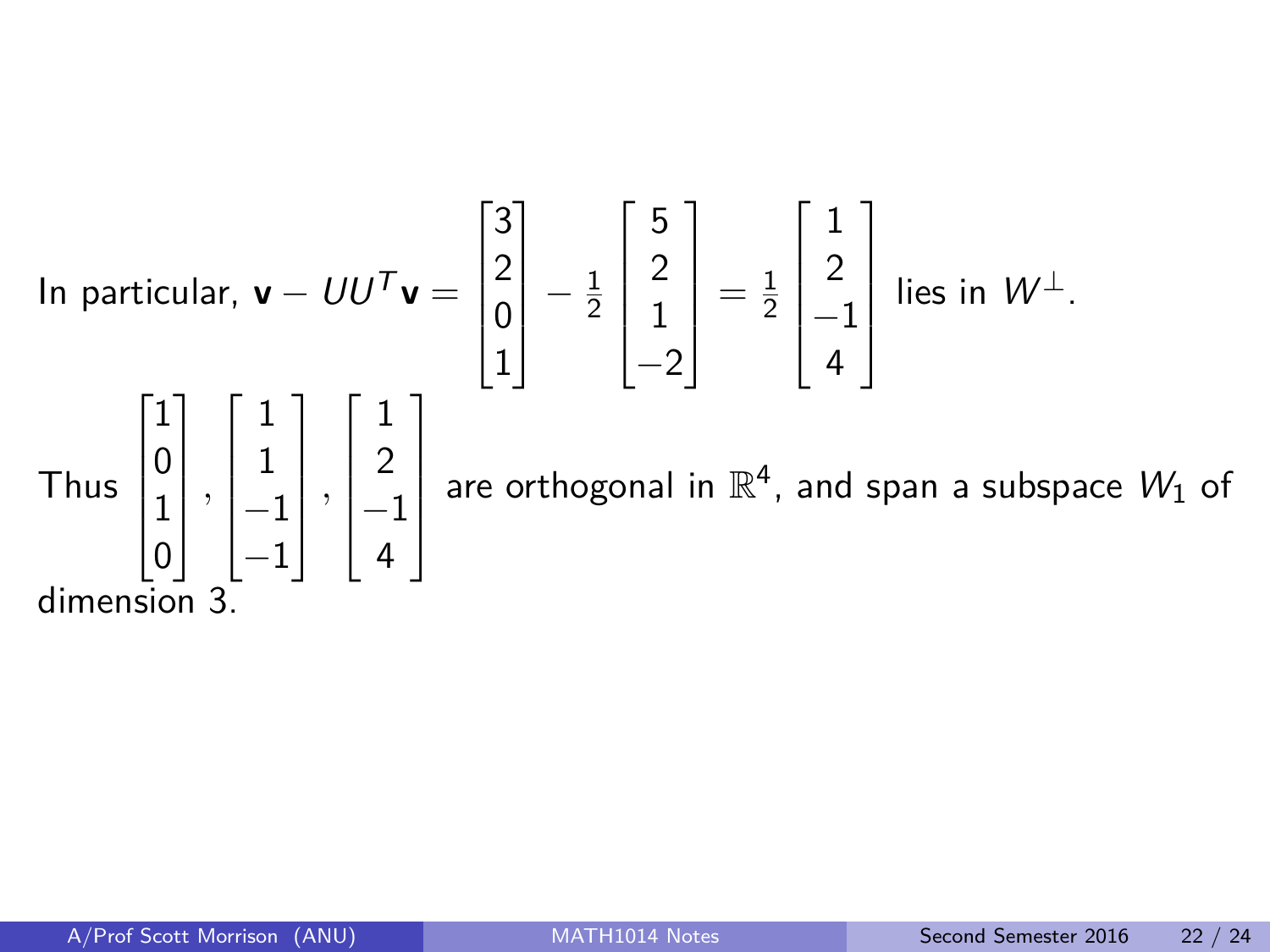In particular, 
$$
\mathbf{v} - U U^T \mathbf{v} = \begin{bmatrix} 3 \\ 2 \\ 0 \\ 1 \end{bmatrix} - \frac{1}{2} \begin{bmatrix} 5 \\ 2 \\ 1 \\ -2 \end{bmatrix} = \frac{1}{2} \begin{bmatrix} 1 \\ 2 \\ -1 \\ 4 \end{bmatrix}
$$
 lies in  $W^{\perp}$ .  
Thus  $\begin{bmatrix} 1 \\ 0 \\ 1 \\ 0 \end{bmatrix}, \begin{bmatrix} 1 \\ 1 \\ -1 \\ -1 \end{bmatrix}, \begin{bmatrix} 1 \\ 2 \\ -1 \\ 4 \end{bmatrix}$  are orthogonal in  $\mathbb{R}^4$ , and span a subspace  $W_1$  of dimension 3.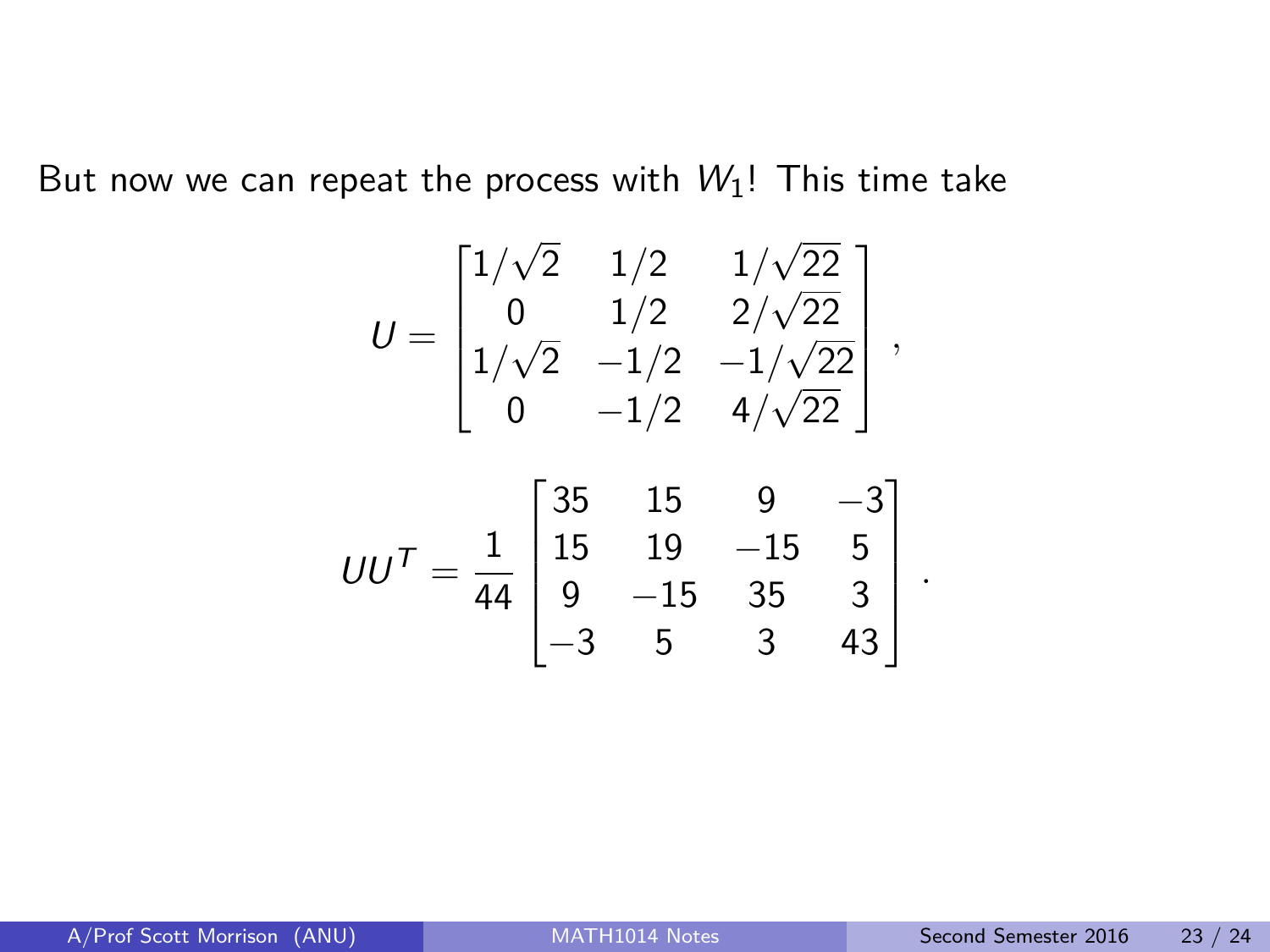But now we can repeat the process with  $W_1!$ ! This time take

$$
U = \begin{bmatrix} 1/\sqrt{2} & 1/2 & 1/\sqrt{22} \\ 0 & 1/2 & 2/\sqrt{22} \\ 1/\sqrt{2} & -1/2 & -1/\sqrt{22} \\ 0 & -1/2 & 4/\sqrt{22} \end{bmatrix},
$$

$$
UU^{T} = \frac{1}{44} \begin{bmatrix} 35 & 15 & 9 & -3 \\ 15 & 19 & -15 & 5 \\ 9 & -15 & 35 & 3 \\ -3 & 5 & 3 & 43 \end{bmatrix}
$$

*.*